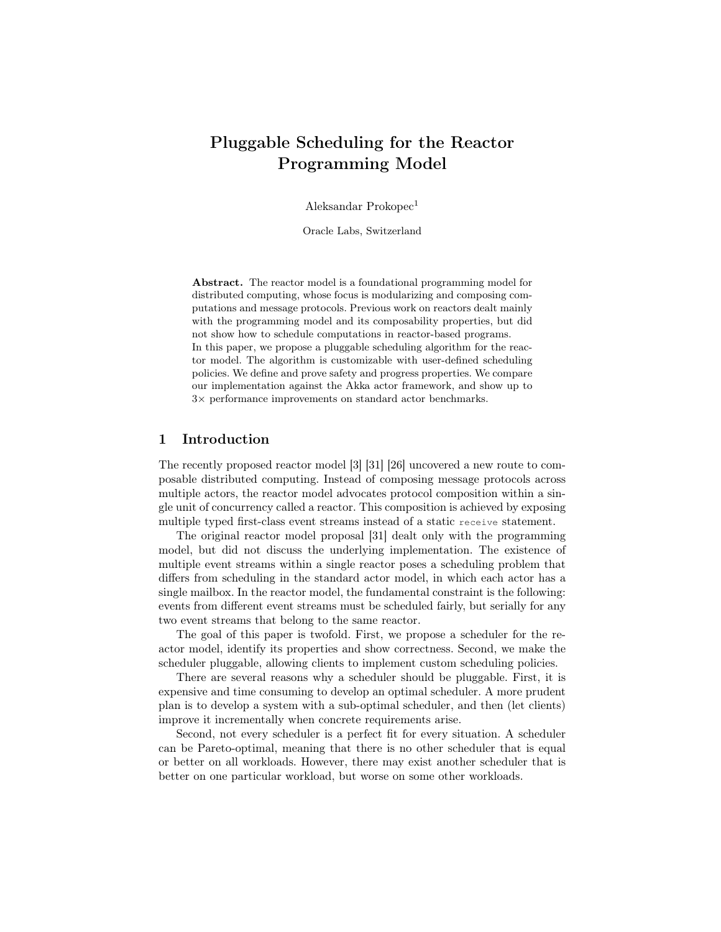# Pluggable Scheduling for the Reactor Programming Model

Aleksandar Prokopec<sup>1</sup>

Oracle Labs, Switzerland

Abstract. The reactor model is a foundational programming model for distributed computing, whose focus is modularizing and composing computations and message protocols. Previous work on reactors dealt mainly with the programming model and its composability properties, but did not show how to schedule computations in reactor-based programs. In this paper, we propose a pluggable scheduling algorithm for the reactor model. The algorithm is customizable with user-defined scheduling policies. We define and prove safety and progress properties. We compare our implementation against the Akka actor framework, and show up to 3× performance improvements on standard actor benchmarks.

# 1 Introduction

The recently proposed reactor model [3] [31] [26] uncovered a new route to composable distributed computing. Instead of composing message protocols across multiple actors, the reactor model advocates protocol composition within a single unit of concurrency called a reactor. This composition is achieved by exposing multiple typed first-class event streams instead of a static receive statement.

The original reactor model proposal [31] dealt only with the programming model, but did not discuss the underlying implementation. The existence of multiple event streams within a single reactor poses a scheduling problem that differs from scheduling in the standard actor model, in which each actor has a single mailbox. In the reactor model, the fundamental constraint is the following: events from different event streams must be scheduled fairly, but serially for any two event streams that belong to the same reactor.

The goal of this paper is twofold. First, we propose a scheduler for the reactor model, identify its properties and show correctness. Second, we make the scheduler pluggable, allowing clients to implement custom scheduling policies.

There are several reasons why a scheduler should be pluggable. First, it is expensive and time consuming to develop an optimal scheduler. A more prudent plan is to develop a system with a sub-optimal scheduler, and then (let clients) improve it incrementally when concrete requirements arise.

Second, not every scheduler is a perfect fit for every situation. A scheduler can be Pareto-optimal, meaning that there is no other scheduler that is equal or better on all workloads. However, there may exist another scheduler that is better on one particular workload, but worse on some other workloads.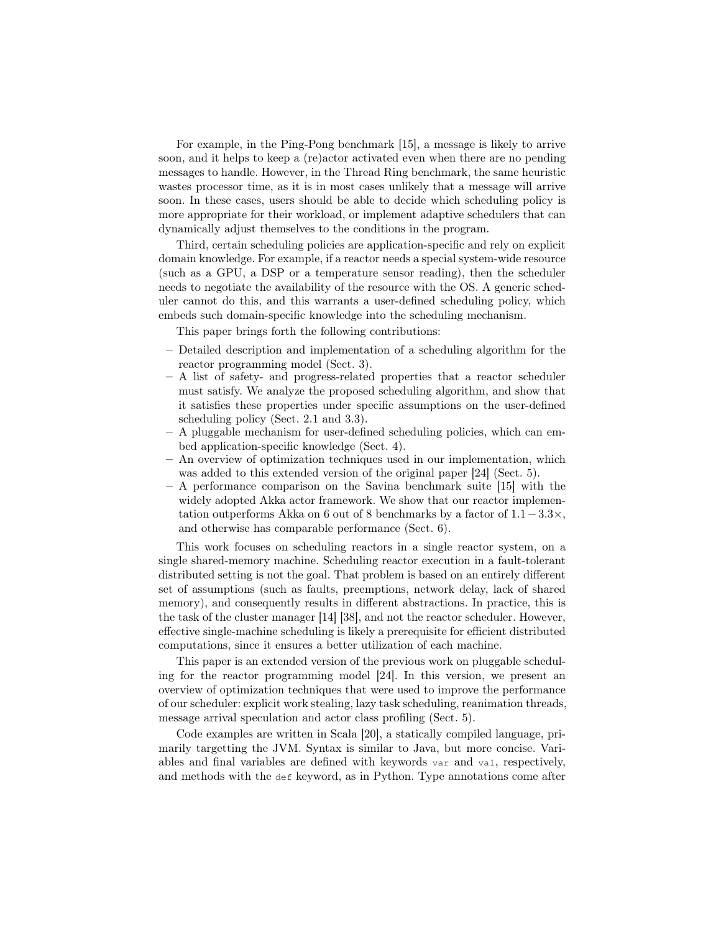For example, in the Ping-Pong benchmark [15], a message is likely to arrive soon, and it helps to keep a (re)actor activated even when there are no pending messages to handle. However, in the Thread Ring benchmark, the same heuristic wastes processor time, as it is in most cases unlikely that a message will arrive soon. In these cases, users should be able to decide which scheduling policy is more appropriate for their workload, or implement adaptive schedulers that can dynamically adjust themselves to the conditions in the program.

Third, certain scheduling policies are application-specific and rely on explicit domain knowledge. For example, if a reactor needs a special system-wide resource (such as a GPU, a DSP or a temperature sensor reading), then the scheduler needs to negotiate the availability of the resource with the OS. A generic scheduler cannot do this, and this warrants a user-defined scheduling policy, which embeds such domain-specific knowledge into the scheduling mechanism.

This paper brings forth the following contributions:

- Detailed description and implementation of a scheduling algorithm for the reactor programming model (Sect. 3).
- A list of safety- and progress-related properties that a reactor scheduler must satisfy. We analyze the proposed scheduling algorithm, and show that it satisfies these properties under specific assumptions on the user-defined scheduling policy (Sect. 2.1 and 3.3).
- A pluggable mechanism for user-defined scheduling policies, which can embed application-specific knowledge (Sect. 4).
- An overview of optimization techniques used in our implementation, which was added to this extended version of the original paper [24] (Sect. 5).
- A performance comparison on the Savina benchmark suite [15] with the widely adopted Akka actor framework. We show that our reactor implementation outperforms Akka on 6 out of 8 benchmarks by a factor of  $1.1-3.3\times$ , and otherwise has comparable performance (Sect. 6).

This work focuses on scheduling reactors in a single reactor system, on a single shared-memory machine. Scheduling reactor execution in a fault-tolerant distributed setting is not the goal. That problem is based on an entirely different set of assumptions (such as faults, preemptions, network delay, lack of shared memory), and consequently results in different abstractions. In practice, this is the task of the cluster manager [14] [38], and not the reactor scheduler. However, effective single-machine scheduling is likely a prerequisite for efficient distributed computations, since it ensures a better utilization of each machine.

This paper is an extended version of the previous work on pluggable scheduling for the reactor programming model [24]. In this version, we present an overview of optimization techniques that were used to improve the performance of our scheduler: explicit work stealing, lazy task scheduling, reanimation threads, message arrival speculation and actor class profiling (Sect. 5).

Code examples are written in Scala [20], a statically compiled language, primarily targetting the JVM. Syntax is similar to Java, but more concise. Variables and final variables are defined with keywords var and val, respectively, and methods with the def keyword, as in Python. Type annotations come after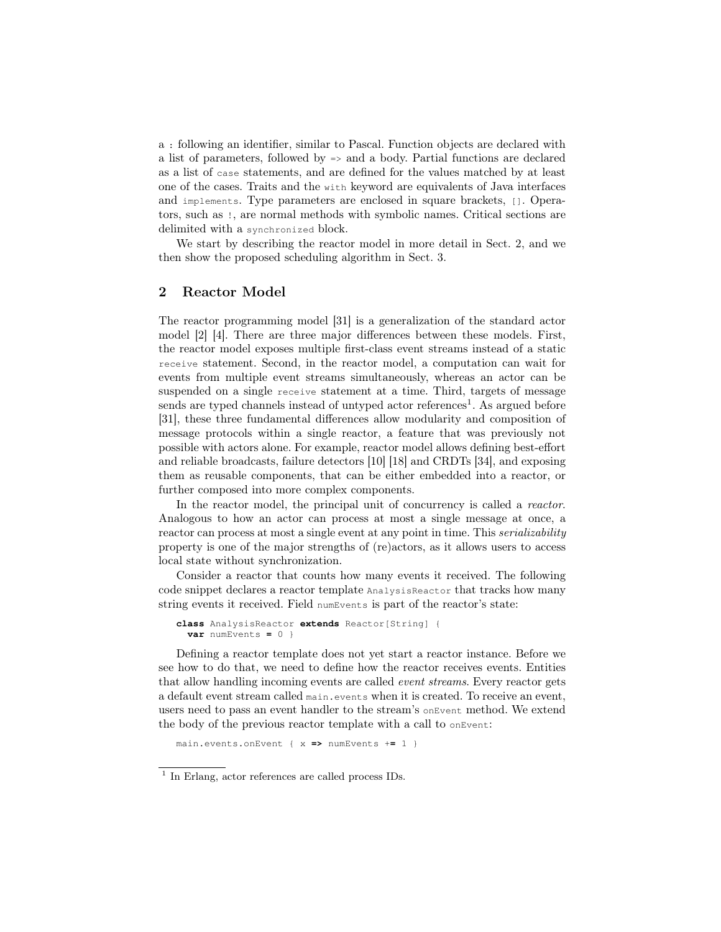a : following an identifier, similar to Pascal. Function objects are declared with a list of parameters, followed by => and a body. Partial functions are declared as a list of case statements, and are defined for the values matched by at least one of the cases. Traits and the with keyword are equivalents of Java interfaces and implements. Type parameters are enclosed in square brackets, []. Operators, such as !, are normal methods with symbolic names. Critical sections are delimited with a synchronized block.

We start by describing the reactor model in more detail in Sect. 2, and we then show the proposed scheduling algorithm in Sect. 3.

# 2 Reactor Model

The reactor programming model [31] is a generalization of the standard actor model [2] [4]. There are three major differences between these models. First, the reactor model exposes multiple first-class event streams instead of a static receive statement. Second, in the reactor model, a computation can wait for events from multiple event streams simultaneously, whereas an actor can be suspended on a single receive statement at a time. Third, targets of message sends are typed channels instead of untyped actor references<sup>1</sup>. As argued before [31], these three fundamental differences allow modularity and composition of message protocols within a single reactor, a feature that was previously not possible with actors alone. For example, reactor model allows defining best-effort and reliable broadcasts, failure detectors [10] [18] and CRDTs [34], and exposing them as reusable components, that can be either embedded into a reactor, or further composed into more complex components.

In the reactor model, the principal unit of concurrency is called a reactor. Analogous to how an actor can process at most a single message at once, a reactor can process at most a single event at any point in time. This *serializability* property is one of the major strengths of (re)actors, as it allows users to access local state without synchronization.

Consider a reactor that counts how many events it received. The following code snippet declares a reactor template AnalysisReactor that tracks how many string events it received. Field numEvents is part of the reactor's state:

```
class AnalysisReactor extends Reactor[String] {
  var numEvents = 0 }
```
Defining a reactor template does not yet start a reactor instance. Before we see how to do that, we need to define how the reactor receives events. Entities that allow handling incoming events are called event streams. Every reactor gets a default event stream called main.events when it is created. To receive an event, users need to pass an event handler to the stream's onEvent method. We extend the body of the previous reactor template with a call to onEvent:

main.events.onEvent { x **=>** numEvents +**=** 1 }

<sup>1</sup> In Erlang, actor references are called process IDs.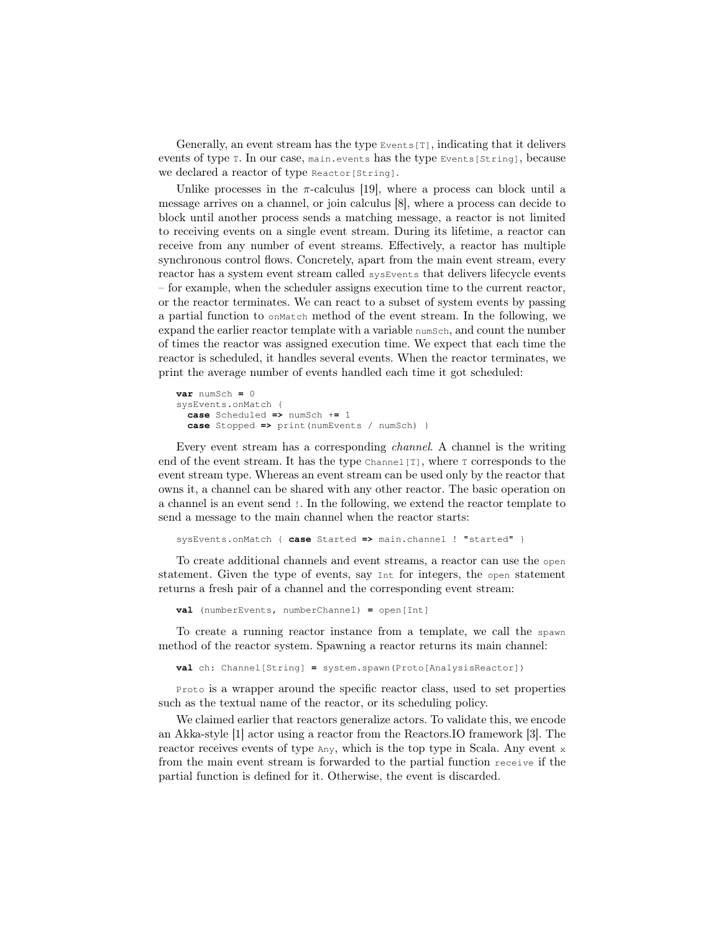Generally, an event stream has the type Events[T], indicating that it delivers events of type T. In our case, main.events has the type Events[String], because we declared a reactor of type Reactor[String].

Unlike processes in the  $\pi$ -calculus [19], where a process can block until a message arrives on a channel, or join calculus [8], where a process can decide to block until another process sends a matching message, a reactor is not limited to receiving events on a single event stream. During its lifetime, a reactor can receive from any number of event streams. Effectively, a reactor has multiple synchronous control flows. Concretely, apart from the main event stream, every reactor has a system event stream called sysEvents that delivers lifecycle events – for example, when the scheduler assigns execution time to the current reactor, or the reactor terminates. We can react to a subset of system events by passing a partial function to onMatch method of the event stream. In the following, we expand the earlier reactor template with a variable numSch, and count the number of times the reactor was assigned execution time. We expect that each time the reactor is scheduled, it handles several events. When the reactor terminates, we print the average number of events handled each time it got scheduled:

```
var numSch = 0
sysEvents.onMatch {
  case Scheduled => numSch += 1
  case Stopped => print(numEvents / numSch) }
```
Every event stream has a corresponding channel. A channel is the writing end of the event stream. It has the type  $\text{Channel}[T]$ , where T corresponds to the event stream type. Whereas an event stream can be used only by the reactor that owns it, a channel can be shared with any other reactor. The basic operation on a channel is an event send !. In the following, we extend the reactor template to send a message to the main channel when the reactor starts:

sysEvents.onMatch { **case** Started **=>** main.channel ! "started" }

To create additional channels and event streams, a reactor can use the open statement. Given the type of events, say Int for integers, the open statement returns a fresh pair of a channel and the corresponding event stream:

**val** (numberEvents, numberChannel) **=** open[Int]

To create a running reactor instance from a template, we call the spawn method of the reactor system. Spawning a reactor returns its main channel:

**val** ch: Channel[String] **=** system.spawn(Proto[AnalysisReactor])

Proto is a wrapper around the specific reactor class, used to set properties such as the textual name of the reactor, or its scheduling policy.

We claimed earlier that reactors generalize actors. To validate this, we encode an Akka-style [1] actor using a reactor from the Reactors.IO framework [3]. The reactor receives events of type  $_{\rm{Any}}$ , which is the top type in Scala. Any event x from the main event stream is forwarded to the partial function receive if the partial function is defined for it. Otherwise, the event is discarded.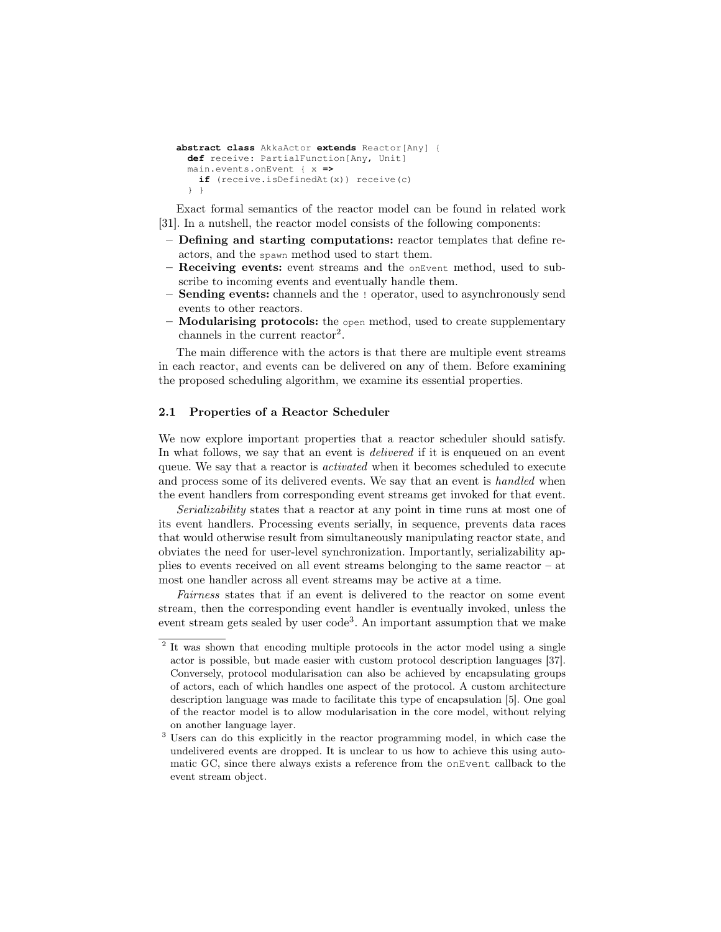```
abstract class AkkaActor extends Reactor[Any] {
  def receive: PartialFunction[Any, Unit]
  main.events.onEvent { x =>
    if (receive.isDefinedAt(x)) receive(c)
  } }
```
Exact formal semantics of the reactor model can be found in related work [31]. In a nutshell, the reactor model consists of the following components:

- Defining and starting computations: reactor templates that define reactors, and the spawn method used to start them.
- Receiving events: event streams and the onEvent method, used to subscribe to incoming events and eventually handle them.
- Sending events: channels and the ! operator, used to asynchronously send events to other reactors.
- Modularising protocols: the open method, used to create supplementary channels in the current reactor<sup>2</sup>.

The main difference with the actors is that there are multiple event streams in each reactor, and events can be delivered on any of them. Before examining the proposed scheduling algorithm, we examine its essential properties.

#### 2.1 Properties of a Reactor Scheduler

We now explore important properties that a reactor scheduler should satisfy. In what follows, we say that an event is *delivered* if it is enqueued on an event queue. We say that a reactor is *activated* when it becomes scheduled to execute and process some of its delivered events. We say that an event is handled when the event handlers from corresponding event streams get invoked for that event.

Serializability states that a reactor at any point in time runs at most one of its event handlers. Processing events serially, in sequence, prevents data races that would otherwise result from simultaneously manipulating reactor state, and obviates the need for user-level synchronization. Importantly, serializability applies to events received on all event streams belonging to the same reactor – at most one handler across all event streams may be active at a time.

Fairness states that if an event is delivered to the reactor on some event stream, then the corresponding event handler is eventually invoked, unless the event stream gets sealed by user  $\text{code}^3$ . An important assumption that we make

<sup>&</sup>lt;sup>2</sup> It was shown that encoding multiple protocols in the actor model using a single actor is possible, but made easier with custom protocol description languages [37]. Conversely, protocol modularisation can also be achieved by encapsulating groups of actors, each of which handles one aspect of the protocol. A custom architecture description language was made to facilitate this type of encapsulation [5]. One goal of the reactor model is to allow modularisation in the core model, without relying on another language layer.

<sup>3</sup> Users can do this explicitly in the reactor programming model, in which case the undelivered events are dropped. It is unclear to us how to achieve this using automatic GC, since there always exists a reference from the onEvent callback to the event stream object.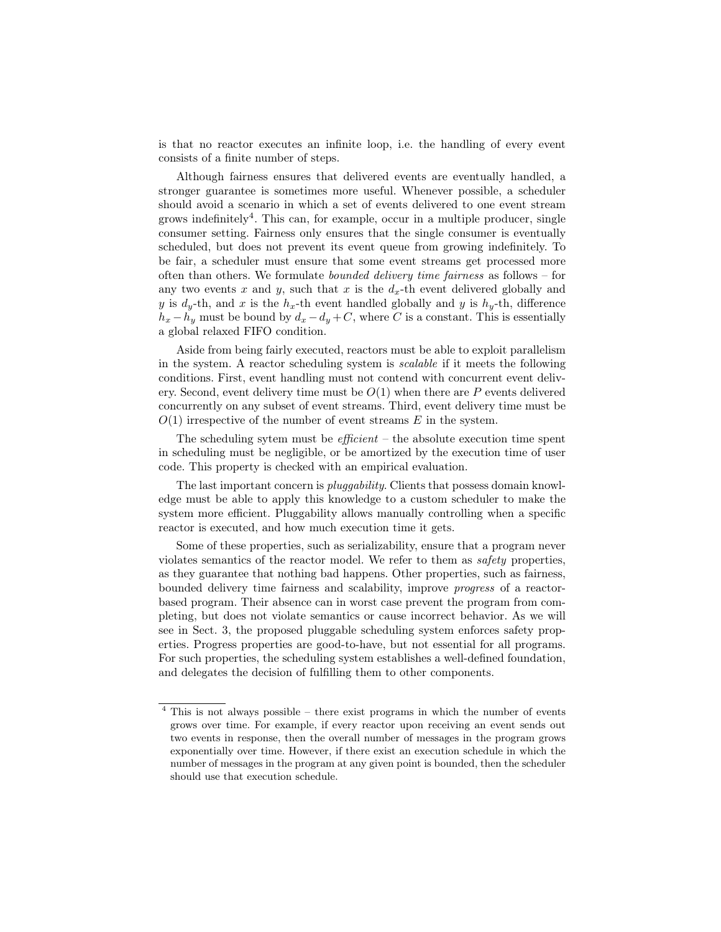is that no reactor executes an infinite loop, i.e. the handling of every event consists of a finite number of steps.

Although fairness ensures that delivered events are eventually handled, a stronger guarantee is sometimes more useful. Whenever possible, a scheduler should avoid a scenario in which a set of events delivered to one event stream grows indefinitely<sup>4</sup>. This can, for example, occur in a multiple producer, single consumer setting. Fairness only ensures that the single consumer is eventually scheduled, but does not prevent its event queue from growing indefinitely. To be fair, a scheduler must ensure that some event streams get processed more often than others. We formulate bounded delivery time fairness as follows – for any two events x and y, such that x is the  $d_x$ -th event delivered globally and y is  $d_y$ -th, and x is the  $h_x$ -th event handled globally and y is  $h_y$ -th, difference  $h_x - h_y$  must be bound by  $d_x - d_y + C$ , where C is a constant. This is essentially a global relaxed FIFO condition.

Aside from being fairly executed, reactors must be able to exploit parallelism in the system. A reactor scheduling system is scalable if it meets the following conditions. First, event handling must not contend with concurrent event delivery. Second, event delivery time must be  $O(1)$  when there are P events delivered concurrently on any subset of event streams. Third, event delivery time must be  $O(1)$  irrespective of the number of event streams E in the system.

The scheduling sytem must be  $efficient -$  the absolute execution time spent in scheduling must be negligible, or be amortized by the execution time of user code. This property is checked with an empirical evaluation.

The last important concern is pluggability. Clients that possess domain knowledge must be able to apply this knowledge to a custom scheduler to make the system more efficient. Pluggability allows manually controlling when a specific reactor is executed, and how much execution time it gets.

Some of these properties, such as serializability, ensure that a program never violates semantics of the reactor model. We refer to them as safety properties, as they guarantee that nothing bad happens. Other properties, such as fairness, bounded delivery time fairness and scalability, improve progress of a reactorbased program. Their absence can in worst case prevent the program from completing, but does not violate semantics or cause incorrect behavior. As we will see in Sect. 3, the proposed pluggable scheduling system enforces safety properties. Progress properties are good-to-have, but not essential for all programs. For such properties, the scheduling system establishes a well-defined foundation, and delegates the decision of fulfilling them to other components.

 $4$  This is not always possible – there exist programs in which the number of events grows over time. For example, if every reactor upon receiving an event sends out two events in response, then the overall number of messages in the program grows exponentially over time. However, if there exist an execution schedule in which the number of messages in the program at any given point is bounded, then the scheduler should use that execution schedule.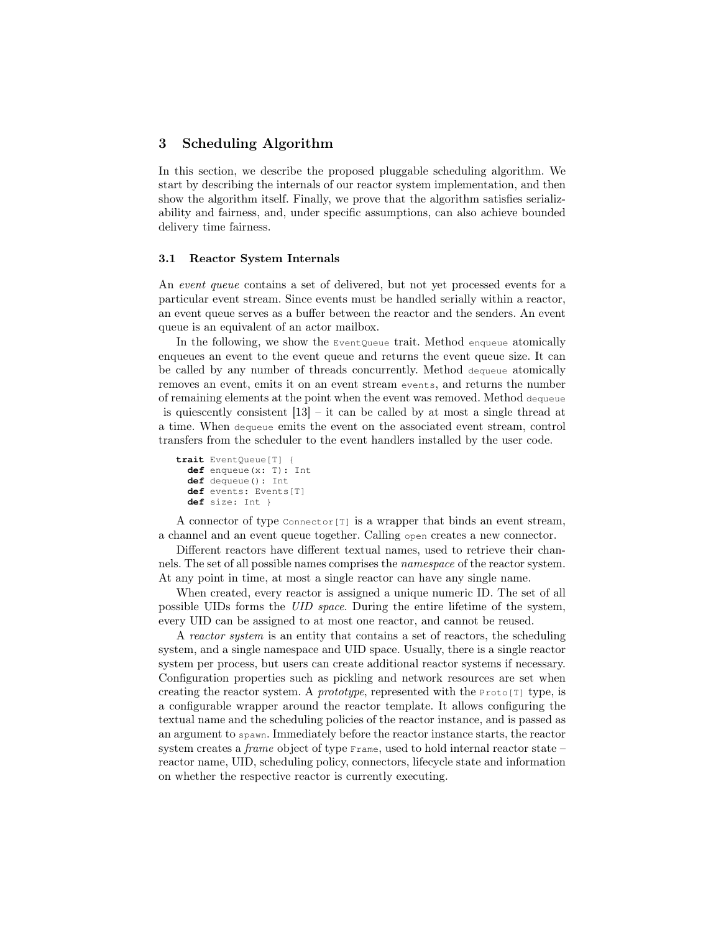# 3 Scheduling Algorithm

In this section, we describe the proposed pluggable scheduling algorithm. We start by describing the internals of our reactor system implementation, and then show the algorithm itself. Finally, we prove that the algorithm satisfies serializability and fairness, and, under specific assumptions, can also achieve bounded delivery time fairness.

#### 3.1 Reactor System Internals

An event queue contains a set of delivered, but not yet processed events for a particular event stream. Since events must be handled serially within a reactor, an event queue serves as a buffer between the reactor and the senders. An event queue is an equivalent of an actor mailbox.

In the following, we show the EventQueue trait. Method enqueue atomically enqueues an event to the event queue and returns the event queue size. It can be called by any number of threads concurrently. Method dequeue atomically removes an event, emits it on an event stream events, and returns the number of remaining elements at the point when the event was removed. Method dequeue is quiescently consistent  $[13]$  – it can be called by at most a single thread at a time. When dequeue emits the event on the associated event stream, control transfers from the scheduler to the event handlers installed by the user code.

```
trait EventQueue[T] {
  def enqueue(x: T): Int
  def dequeue(): Int
  def events: Events[T]
  def size: Int }
```
A connector of type  $\text{Connector}[T]$  is a wrapper that binds an event stream, a channel and an event queue together. Calling open creates a new connector.

Different reactors have different textual names, used to retrieve their channels. The set of all possible names comprises the namespace of the reactor system. At any point in time, at most a single reactor can have any single name.

When created, every reactor is assigned a unique numeric ID. The set of all possible UIDs forms the UID space. During the entire lifetime of the system, every UID can be assigned to at most one reactor, and cannot be reused.

A reactor system is an entity that contains a set of reactors, the scheduling system, and a single namespace and UID space. Usually, there is a single reactor system per process, but users can create additional reactor systems if necessary. Configuration properties such as pickling and network resources are set when creating the reactor system. A *prototype*, represented with the  $Proof[1]$  type, is a configurable wrapper around the reactor template. It allows configuring the textual name and the scheduling policies of the reactor instance, and is passed as an argument to spawn. Immediately before the reactor instance starts, the reactor system creates a *frame* object of type  $\text{Frame}$ , used to hold internal reactor state – reactor name, UID, scheduling policy, connectors, lifecycle state and information on whether the respective reactor is currently executing.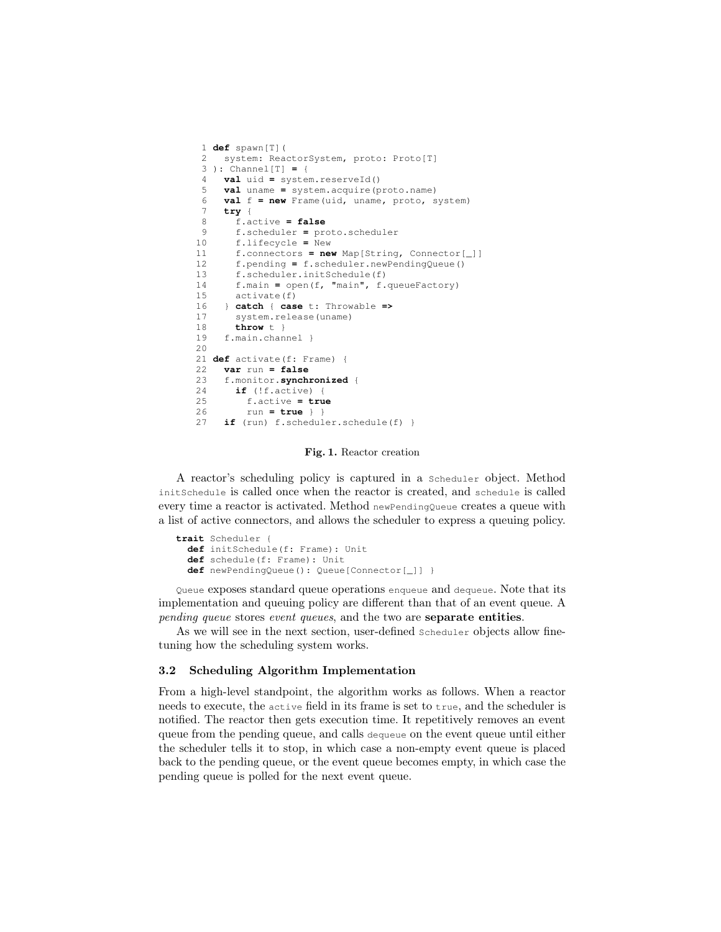```
1 def spawn[T](
 2 system: ReactorSystem, proto: Proto[T]
 3 ): Channel[T] = {
 4 val uid = system.reserveId()
5 val uname = system.acquire(proto.name)
 6 val f = new Frame(uid, uname, proto, system)
 7 try {
       8 f.active = false
9 f.scheduler = proto.scheduler
10 f.lifecycle = New
11 f.connectors = new Map[String, Connector[_]]<br>12 f.pending = f.scheduler.newPendingOueue()
12 f.pending = f.scheduler.newPendingQueue()
      13 f.scheduler.initSchedule(f)
14 f.main = open(f, "main", f.queueFactory)
15 activate(f)
16 } catch { case t: Throwable =>
       system.release(uname)
18 throw t }
19 f.main.channel }
20
21 def activate(f: Frame) {
22 var run = false
23 f.monitor.synchronized {
24 if (!f.active) {
25 f.active = true
26 run = true } }
27 if (run) f.scheduler.schedule(f) }
```
Fig. 1. Reactor creation

A reactor's scheduling policy is captured in a Scheduler object. Method initSchedule is called once when the reactor is created, and schedule is called every time a reactor is activated. Method newPendingQueue creates a queue with a list of active connectors, and allows the scheduler to express a queuing policy.

```
trait Scheduler {
  def initSchedule(f: Frame): Unit
  def schedule(f: Frame): Unit
  def newPendingQueue(): Queue[Connector[_]] }
```
Queue exposes standard queue operations enqueue and dequeue. Note that its implementation and queuing policy are different than that of an event queue. A pending queue stores event queues, and the two are separate entities.

As we will see in the next section, user-defined Scheduler objects allow finetuning how the scheduling system works.

## 3.2 Scheduling Algorithm Implementation

From a high-level standpoint, the algorithm works as follows. When a reactor needs to execute, the active field in its frame is set to true, and the scheduler is notified. The reactor then gets execution time. It repetitively removes an event queue from the pending queue, and calls dequeue on the event queue until either the scheduler tells it to stop, in which case a non-empty event queue is placed back to the pending queue, or the event queue becomes empty, in which case the pending queue is polled for the next event queue.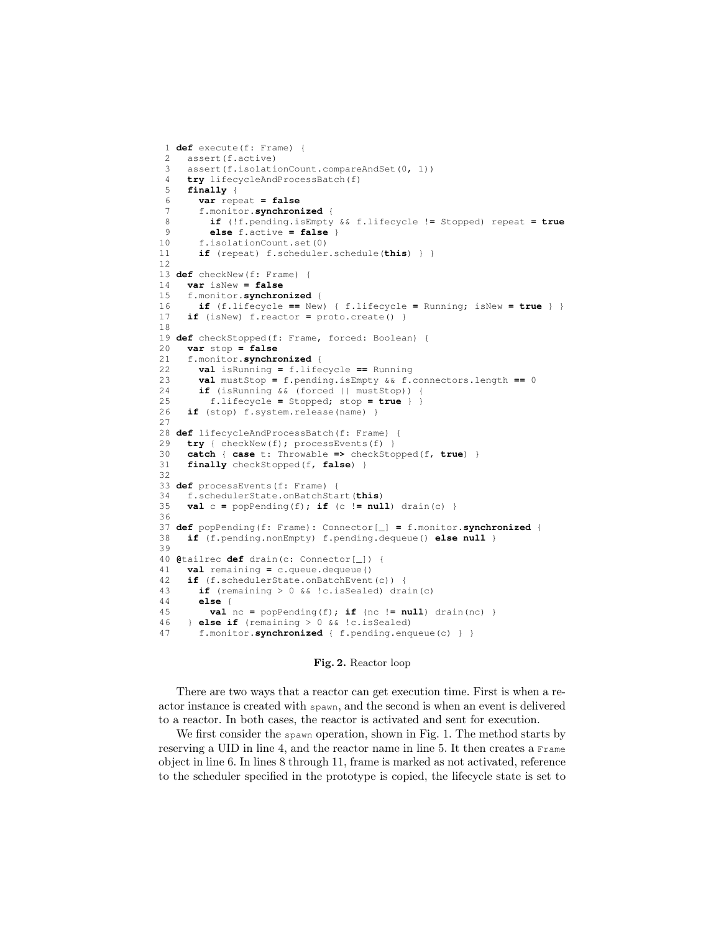```
1 def execute(f: Frame) {
 2 assert(f.active)
 3 assert(f.isolationCount.compareAndSet(0, 1))
 4 try lifecycleAndProcessBatch(f)
 5 finally {
 6 var repeat = false
 7 f.monitor.synchronized {
 8 if (!f.pending.isEmpty && f.lifecycle != Stopped) repeat = true
9 else f.active = false }
10 f.isolationCount.set(0)
11 if (repeat) f.scheduler.schedule(this) } }
12
13 def checkNew(f: Frame) {
14 var isNew = false
15 f.monitor.synchronized {
16 if (f.lifecycle == New) { f.lifecycle = Running; isNew = true } }<br>17 if (isNew) f.reactor = proto.create() }
     17 if (isNew) f.reactor = proto.create() }
18
19 def checkStopped(f: Frame, forced: Boolean) {
    20 var stop = false
21 f.monitor.synchronized {
22 val isRunning = f.lifecycle == Running
23 val mustStop = f.pending.isEmpty && f.connectors.length == 0
24 if (isRunning && (forced || mustStop)) {
25 f.lifecycle = Stopped; stop = true } }
26 if (stop) f.system.release(name) }
27
28 def lifecycleAndProcessBatch(f: Frame) {
29 try { checkNew(f); processEvents(f) }
30 catch { case t: Throwable => checkStopped(f, true) }
    31 finally checkStopped(f, false) }
32
33 def processEvents(f: Frame) {
34 f.schedulerState.onBatchStart(this)
35 val c = popPending(f); if (c != null) drain(c) }
36
37 def popPending(f: Frame): Connector[_] = f.monitor.synchronized {
    38 if (f.pending.nonEmpty) f.pending.dequeue() else null }
39
40 @tailrec def drain(c: Connector[_]) {
41 val remaining = c.queue.dequeue()
42 if (f.schedulerState.onBatchEvent(c)) {
43 if (remaining > 0 && !c.isSealed) drain(c)
44 else {
45 val nc = popPending(f); if (nc != null) drain(nc) }
46 } else if (remaining > 0 && !c.isSealed)
47 f.monitor.synchronized { f.pending.enqueue(c) } }
```
#### Fig. 2. Reactor loop

There are two ways that a reactor can get execution time. First is when a reactor instance is created with spawn, and the second is when an event is delivered to a reactor. In both cases, the reactor is activated and sent for execution.

We first consider the spawn operation, shown in Fig. 1. The method starts by reserving a UID in line 4, and the reactor name in line 5. It then creates a Frame object in line 6. In lines 8 through 11, frame is marked as not activated, reference to the scheduler specified in the prototype is copied, the lifecycle state is set to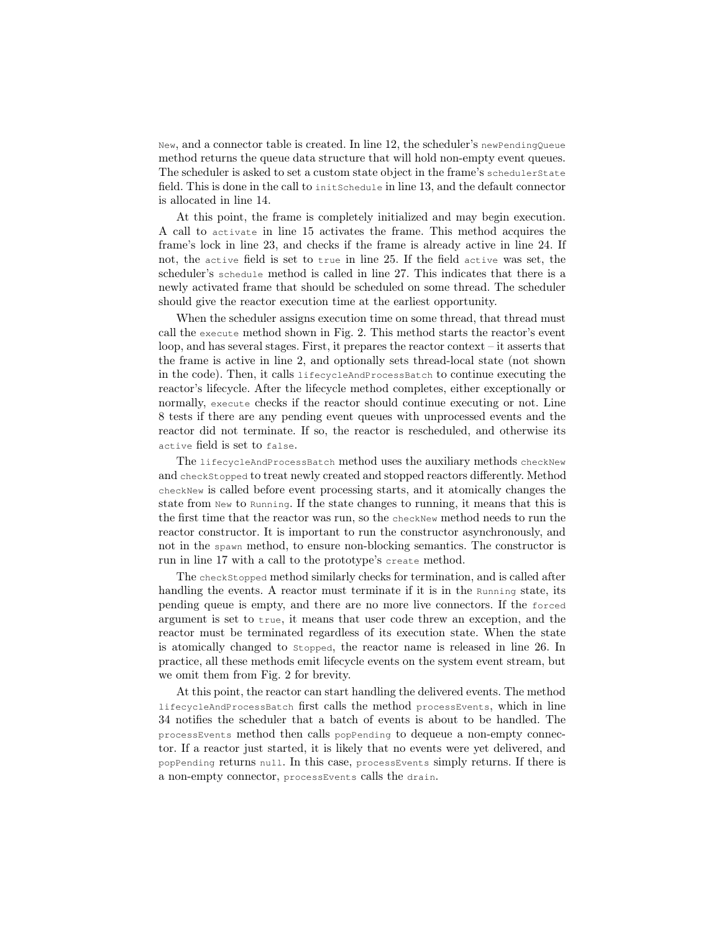New, and a connector table is created. In line 12, the scheduler's newPendingQueue method returns the queue data structure that will hold non-empty event queues. The scheduler is asked to set a custom state object in the frame's schedulerState field. This is done in the call to initSchedule in line 13, and the default connector is allocated in line 14.

At this point, the frame is completely initialized and may begin execution. A call to activate in line 15 activates the frame. This method acquires the frame's lock in line 23, and checks if the frame is already active in line 24. If not, the active field is set to true in line 25. If the field active was set, the scheduler's schedule method is called in line 27. This indicates that there is a newly activated frame that should be scheduled on some thread. The scheduler should give the reactor execution time at the earliest opportunity.

When the scheduler assigns execution time on some thread, that thread must call the execute method shown in Fig. 2. This method starts the reactor's event loop, and has several stages. First, it prepares the reactor context – it asserts that the frame is active in line 2, and optionally sets thread-local state (not shown in the code). Then, it calls lifecycleAndProcessBatch to continue executing the reactor's lifecycle. After the lifecycle method completes, either exceptionally or normally, execute checks if the reactor should continue executing or not. Line 8 tests if there are any pending event queues with unprocessed events and the reactor did not terminate. If so, the reactor is rescheduled, and otherwise its active field is set to false.

The lifecycleAndProcessBatch method uses the auxiliary methods checkNew and checkStopped to treat newly created and stopped reactors differently. Method checkNew is called before event processing starts, and it atomically changes the state from New to Running. If the state changes to running, it means that this is the first time that the reactor was run, so the checkNew method needs to run the reactor constructor. It is important to run the constructor asynchronously, and not in the spawn method, to ensure non-blocking semantics. The constructor is run in line 17 with a call to the prototype's create method.

The checkStopped method similarly checks for termination, and is called after handling the events. A reactor must terminate if it is in the Running state, its pending queue is empty, and there are no more live connectors. If the forced argument is set to true, it means that user code threw an exception, and the reactor must be terminated regardless of its execution state. When the state is atomically changed to Stopped, the reactor name is released in line 26. In practice, all these methods emit lifecycle events on the system event stream, but we omit them from Fig. 2 for brevity.

At this point, the reactor can start handling the delivered events. The method lifecycleAndProcessBatch first calls the method processEvents, which in line 34 notifies the scheduler that a batch of events is about to be handled. The processEvents method then calls popPending to dequeue a non-empty connector. If a reactor just started, it is likely that no events were yet delivered, and popPending returns null. In this case, processEvents simply returns. If there is a non-empty connector, processEvents calls the drain.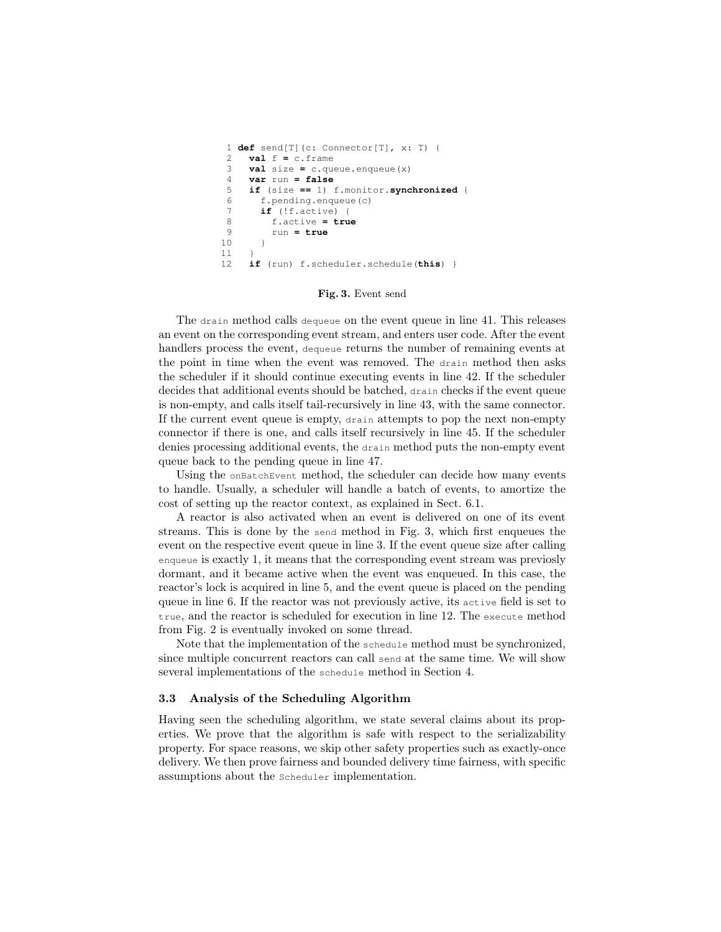```
1 def send[T](c: Connector[T], x: T) {
2 val f = c.frame
3 val size = c.queue.enqueue(x)
4 var run = false
5 if (size == 1) f.monitor.synchronized {
6 f.pending.enqueue(c)
7 if (!f.active) {<br>8 f.active = tru
         8 f.active = true
9 run = true
1011 }
12 if (run) f.scheduler.schedule(this) }
```
Fig. 3. Event send

The drain method calls dequeue on the event queue in line 41. This releases an event on the corresponding event stream, and enters user code. After the event handlers process the event, dequeue returns the number of remaining events at the point in time when the event was removed. The drain method then asks the scheduler if it should continue executing events in line 42. If the scheduler decides that additional events should be batched, drain checks if the event queue is non-empty, and calls itself tail-recursively in line 43, with the same connector. If the current event queue is empty, drain attempts to pop the next non-empty connector if there is one, and calls itself recursively in line 45. If the scheduler denies processing additional events, the drain method puts the non-empty event queue back to the pending queue in line 47.

Using the onBatchEvent method, the scheduler can decide how many events to handle. Usually, a scheduler will handle a batch of events, to amortize the cost of setting up the reactor context, as explained in Sect. 6.1.

A reactor is also activated when an event is delivered on one of its event streams. This is done by the send method in Fig. 3, which first enqueues the event on the respective event queue in line 3. If the event queue size after calling enqueue is exactly 1, it means that the corresponding event stream was previosly dormant, and it became active when the event was enqueued. In this case, the reactor's lock is acquired in line 5, and the event queue is placed on the pending queue in line 6. If the reactor was not previously active, its active field is set to true, and the reactor is scheduled for execution in line 12. The execute method from Fig. 2 is eventually invoked on some thread.

Note that the implementation of the schedule method must be synchronized, since multiple concurrent reactors can call send at the same time. We will show several implementations of the schedule method in Section 4.

## 3.3 Analysis of the Scheduling Algorithm

Having seen the scheduling algorithm, we state several claims about its properties. We prove that the algorithm is safe with respect to the serializability property. For space reasons, we skip other safety properties such as exactly-once delivery. We then prove fairness and bounded delivery time fairness, with specific assumptions about the Scheduler implementation.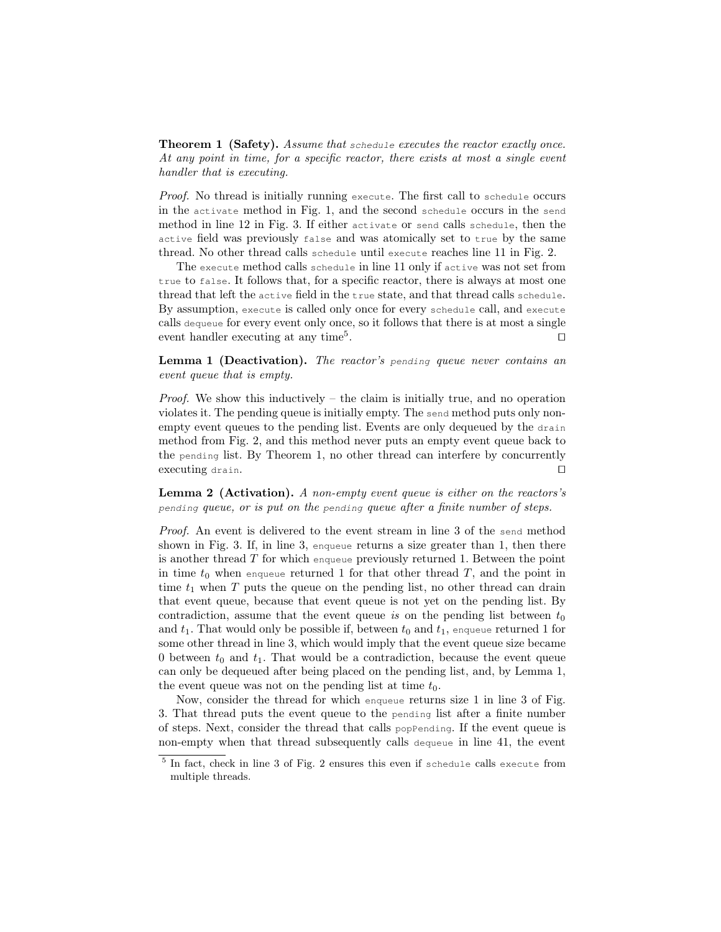**Theorem 1 (Safety).** Assume that schedule executes the reactor exactly once. At any point in time, for a specific reactor, there exists at most a single event handler that is executing.

Proof. No thread is initially running execute. The first call to schedule occurs in the activate method in Fig. 1, and the second schedule occurs in the send method in line 12 in Fig. 3. If either activate or send calls schedule, then the active field was previously false and was atomically set to true by the same thread. No other thread calls schedule until execute reaches line 11 in Fig. 2.

The execute method calls schedule in line 11 only if active was not set from true to false. It follows that, for a specific reactor, there is always at most one thread that left the active field in the true state, and that thread calls schedule. By assumption, execute is called only once for every schedule call, and execute calls dequeue for every event only once, so it follows that there is at most a single event handler executing at any time<sup>5</sup>. . The contract of the contract of the contract of the contract of the contract of the contract of the contract of the contract of the contract of the contract of the contract of the contract of the contract of the contract

Lemma 1 (Deactivation). The reactor's pending queue never contains an event queue that is empty.

*Proof.* We show this inductively  $-$  the claim is initially true, and no operation violates it. The pending queue is initially empty. The send method puts only nonempty event queues to the pending list. Events are only dequeued by the drain method from Fig. 2, and this method never puts an empty event queue back to the pending list. By Theorem 1, no other thread can interfere by concurrently executing drain.  $\Box$ 

Lemma 2 (Activation). A non-empty event queue is either on the reactors's pending queue, or is put on the pending queue after a finite number of steps.

Proof. An event is delivered to the event stream in line 3 of the send method shown in Fig. 3. If, in line 3, enqueue returns a size greater than  $1$ , then there is another thread  $T$  for which enqueue previously returned 1. Between the point in time  $t_0$  when enqueue returned 1 for that other thread  $T$ , and the point in time  $t_1$  when  $T$  puts the queue on the pending list, no other thread can drain that event queue, because that event queue is not yet on the pending list. By contradiction, assume that the event queue is on the pending list between  $t_0$ and  $t_1$ . That would only be possible if, between  $t_0$  and  $t_1$ , enqueue returned 1 for some other thread in line 3, which would imply that the event queue size became 0 between  $t_0$  and  $t_1$ . That would be a contradiction, because the event queue can only be dequeued after being placed on the pending list, and, by Lemma 1, the event queue was not on the pending list at time  $t_0$ .

Now, consider the thread for which enqueue returns size 1 in line 3 of Fig. 3. That thread puts the event queue to the pending list after a finite number of steps. Next, consider the thread that calls popPending. If the event queue is non-empty when that thread subsequently calls dequeue in line 41, the event

<sup>5</sup> In fact, check in line 3 of Fig. 2 ensures this even if schedule calls execute from multiple threads.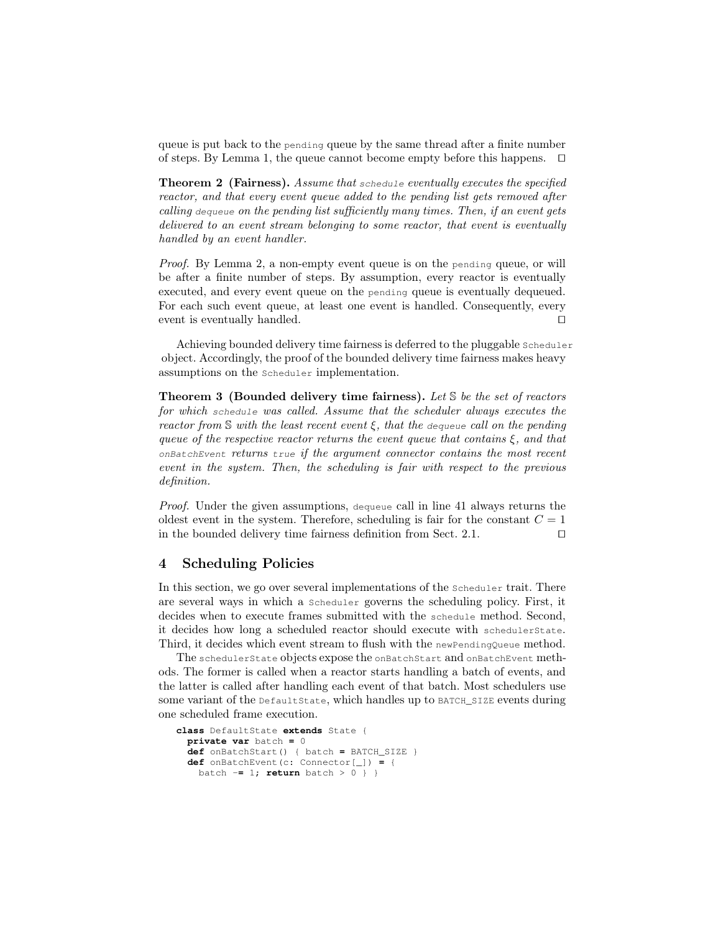queue is put back to the pending queue by the same thread after a finite number of steps. By Lemma 1, the queue cannot become empty before this happens.  $\Box$ 

Theorem 2 (Fairness). Assume that schedule eventually executes the specified reactor, and that every event queue added to the pending list gets removed after calling dequeue on the pending list sufficiently many times. Then, if an event gets delivered to an event stream belonging to some reactor, that event is eventually handled by an event handler.

Proof. By Lemma 2, a non-empty event queue is on the pending queue, or will be after a finite number of steps. By assumption, every reactor is eventually executed, and every event queue on the pending queue is eventually dequeued. For each such event queue, at least one event is handled. Consequently, every event is eventually handled.  $\Box$ 

Achieving bounded delivery time fairness is deferred to the pluggable Scheduler object. Accordingly, the proof of the bounded delivery time fairness makes heavy assumptions on the Scheduler implementation.

**Theorem 3 (Bounded delivery time fairness).** Let  $\mathcal{S}$  be the set of reactors for which schedule was called. Assume that the scheduler always executes the reactor from S with the least recent event  $\xi$ , that the dequeue call on the pending queue of the respective reactor returns the event queue that contains  $\xi$ , and that onBatchEvent returns true if the argument connector contains the most recent event in the system. Then, the scheduling is fair with respect to the previous definition.

Proof. Under the given assumptions, dequeue call in line 41 always returns the oldest event in the system. Therefore, scheduling is fair for the constant  $C = 1$ in the bounded delivery time fairness definition from Sect. 2.1.  $\Box$ 

# 4 Scheduling Policies

In this section, we go over several implementations of the Scheduler trait. There are several ways in which a Scheduler governs the scheduling policy. First, it decides when to execute frames submitted with the schedule method. Second, it decides how long a scheduled reactor should execute with schedulerState. Third, it decides which event stream to flush with the newPendingQueue method.

The schedulerState objects expose the onBatchStart and onBatchEvent methods. The former is called when a reactor starts handling a batch of events, and the latter is called after handling each event of that batch. Most schedulers use some variant of the Default State, which handles up to BATCH\_SIZE events during one scheduled frame execution.

```
class DefaultState extends State {
 private var batch = 0
  def onBatchStart() { batch = BATCH_SIZE }
 def onBatchEvent(c: Connector[_]) = {
   batch = 1; return batch > 0 } }
```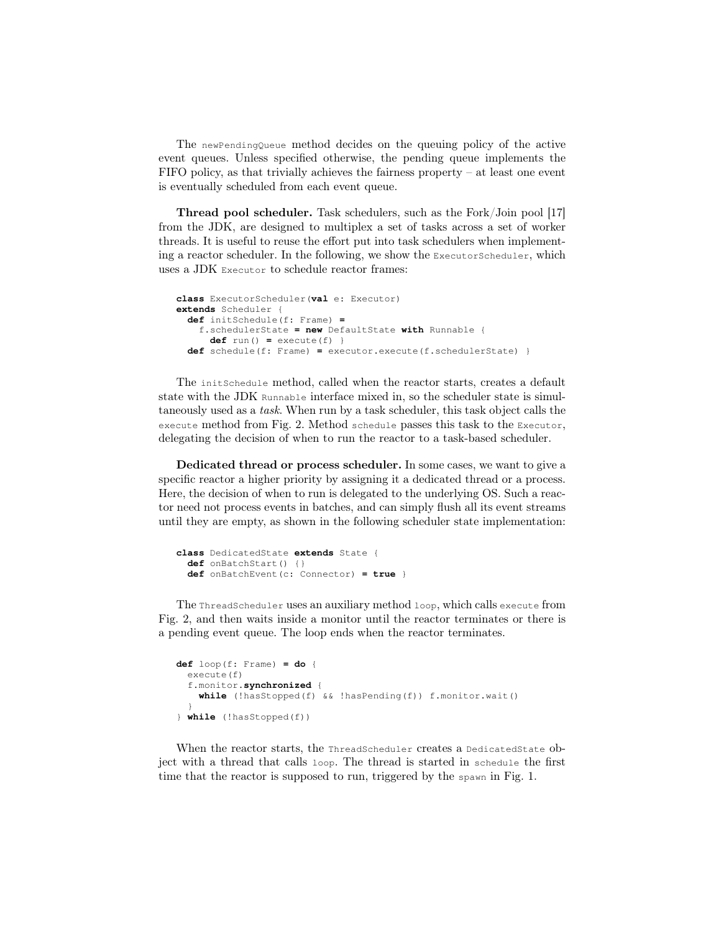The newPendingQueue method decides on the queuing policy of the active event queues. Unless specified otherwise, the pending queue implements the FIFO policy, as that trivially achieves the fairness property  $-$  at least one event is eventually scheduled from each event queue.

Thread pool scheduler. Task schedulers, such as the Fork/Join pool [17] from the JDK, are designed to multiplex a set of tasks across a set of worker threads. It is useful to reuse the effort put into task schedulers when implementing a reactor scheduler. In the following, we show the ExecutorScheduler, which uses a JDK Executor to schedule reactor frames:

```
class ExecutorScheduler(val e: Executor)
extends Scheduler {
  def initSchedule(f: Frame) =
    f.schedulerState = new DefaultState with Runnable {
      def run() = execute(f) }
  def schedule(f: Frame) = executor.execute(f.schedulerState) }
```
The initSchedule method, called when the reactor starts, creates a default state with the JDK Runnable interface mixed in, so the scheduler state is simultaneously used as a task. When run by a task scheduler, this task object calls the execute method from Fig. 2. Method schedule passes this task to the Executor, delegating the decision of when to run the reactor to a task-based scheduler.

Dedicated thread or process scheduler. In some cases, we want to give a specific reactor a higher priority by assigning it a dedicated thread or a process. Here, the decision of when to run is delegated to the underlying OS. Such a reactor need not process events in batches, and can simply flush all its event streams until they are empty, as shown in the following scheduler state implementation:

```
class DedicatedState extends State {
  def onBatchStart() {}
  def onBatchEvent(c: Connector) = true }
```
The ThreadScheduler uses an auxiliary method loop, which calls execute from Fig. 2, and then waits inside a monitor until the reactor terminates or there is a pending event queue. The loop ends when the reactor terminates.

```
def loop(f: Frame) = doexecute(f)
  f.monitor.synchronized {
    while (!hasStopped(f) && !hasPending(f)) f.monitor.wait()
  }
} while (!hasStopped(f))
```
When the reactor starts, the ThreadScheduler creates a DedicatedState object with a thread that calls loop. The thread is started in schedule the first time that the reactor is supposed to run, triggered by the spawn in Fig. 1.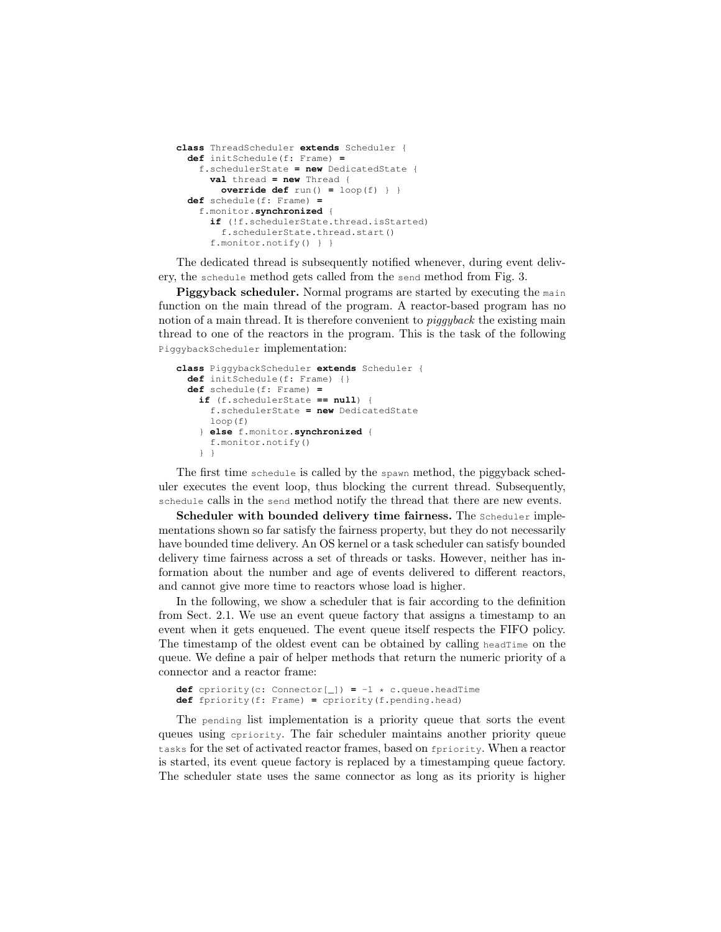```
class ThreadScheduler extends Scheduler {
  def initSchedule(f: Frame) =
    f.schedulerState = new DedicatedState {
      val thread = new Thread {
        override def run() = loop(f) } }
  def schedule(f: Frame) =
    f.monitor.synchronized {
      if (!f.schedulerState.thread.isStarted)
        f.schedulerState.thread.start()
      f.monitor.notify() } }
```
The dedicated thread is subsequently notified whenever, during event delivery, the schedule method gets called from the send method from Fig. 3.

Piggyback scheduler. Normal programs are started by executing the main function on the main thread of the program. A reactor-based program has no notion of a main thread. It is therefore convenient to *piqqyback* the existing main thread to one of the reactors in the program. This is the task of the following PiggybackScheduler implementation:

```
class PiggybackScheduler extends Scheduler {
  def initSchedule(f: Frame) {}
  def schedule(f: Frame) =
    if (f.schedulerState == null) {
      f.schedulerState = new DedicatedState
      loop(f)
    } else f.monitor.synchronized {
      f.monitor.notify()
    } }
```
The first time schedule is called by the spawn method, the piggyback scheduler executes the event loop, thus blocking the current thread. Subsequently, schedule calls in the send method notify the thread that there are new events.

Scheduler with bounded delivery time fairness. The Scheduler implementations shown so far satisfy the fairness property, but they do not necessarily have bounded time delivery. An OS kernel or a task scheduler can satisfy bounded delivery time fairness across a set of threads or tasks. However, neither has information about the number and age of events delivered to different reactors, and cannot give more time to reactors whose load is higher.

In the following, we show a scheduler that is fair according to the definition from Sect. 2.1. We use an event queue factory that assigns a timestamp to an event when it gets enqueued. The event queue itself respects the FIFO policy. The timestamp of the oldest event can be obtained by calling headTime on the queue. We define a pair of helper methods that return the numeric priority of a connector and a reactor frame:

```
def cpriority(c: Connector[_]) = -1 * c.queue.headTime
def fpriority(f: Frame) = cpriority(f.pending.head)
```
The pending list implementation is a priority queue that sorts the event queues using cpriority. The fair scheduler maintains another priority queue tasks for the set of activated reactor frames, based on fpriority. When a reactor is started, its event queue factory is replaced by a timestamping queue factory. The scheduler state uses the same connector as long as its priority is higher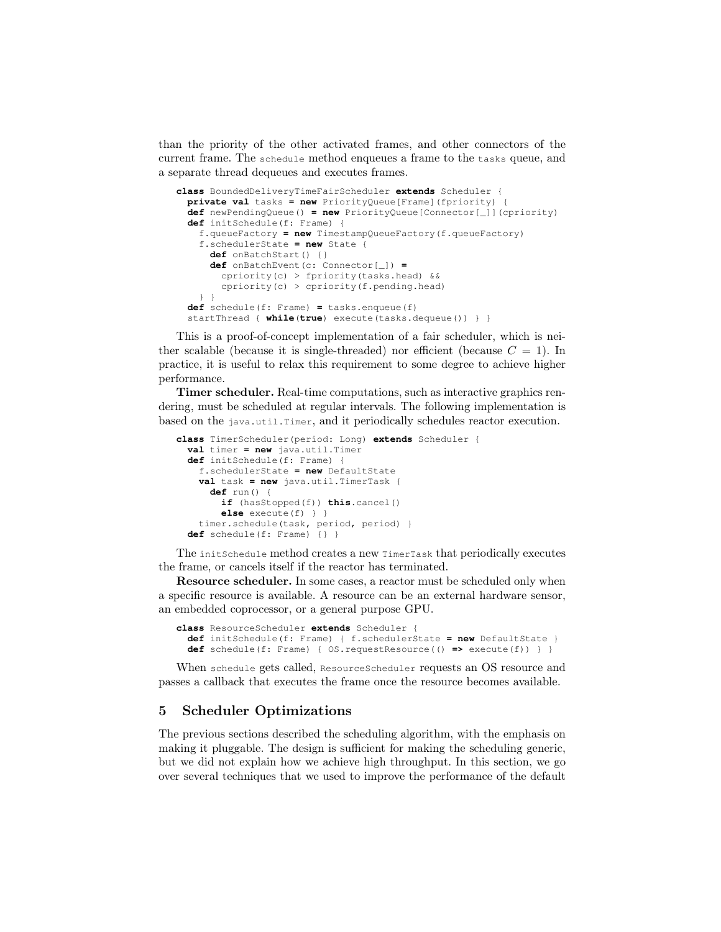than the priority of the other activated frames, and other connectors of the current frame. The schedule method enqueues a frame to the tasks queue, and a separate thread dequeues and executes frames.

```
class BoundedDeliveryTimeFairScheduler extends Scheduler {
  private val tasks = new PriorityQueue[Frame](fpriority) {
  def newPendingQueue() = new PriorityQueue[Connector[_]](cpriority)
  def initSchedule(f: Frame) {
    f.queueFactory = new TimestampQueueFactory(f.queueFactory)
    f.schedulerState = new State {
      def onBatchStart() {}
      def onBatchEvent(c: Connector[_]) =
        cpriority(c) > fpriority(tasks.head) &&
        cpriority(c) > cpriority(f.pending.head)
    \iota \iotadef schedule(f: Frame) = tasks.enqueue(f)
  startThread { while(true) execute(tasks.dequeue()) } }
```
This is a proof-of-concept implementation of a fair scheduler, which is neither scalable (because it is single-threaded) nor efficient (because  $C = 1$ ). In practice, it is useful to relax this requirement to some degree to achieve higher performance.

Timer scheduler. Real-time computations, such as interactive graphics rendering, must be scheduled at regular intervals. The following implementation is based on the java.util.Timer, and it periodically schedules reactor execution.

```
class TimerScheduler(period: Long) extends Scheduler {
  val timer = new java.util.Timer
  def initSchedule(f: Frame) {
    f.schedulerState = new DefaultState
    val task = new java.util.TimerTask {
      def run() {
        if (hasStopped(f)) this.cancel()
        else execute(f) } }
    timer.schedule(task, period, period) }
  def schedule(f: Frame) {} }
```
The initSchedule method creates a new TimerTask that periodically executes the frame, or cancels itself if the reactor has terminated.

Resource scheduler. In some cases, a reactor must be scheduled only when a specific resource is available. A resource can be an external hardware sensor, an embedded coprocessor, or a general purpose GPU.

```
class ResourceScheduler extends Scheduler {
  def initSchedule(f: Frame) { f.schedulerState = new DefaultState }
  def schedule(f: Frame) { OS.requestResource(() => execute(f)) } }
```
When schedule gets called, ResourceScheduler requests an OS resource and passes a callback that executes the frame once the resource becomes available.

# 5 Scheduler Optimizations

The previous sections described the scheduling algorithm, with the emphasis on making it pluggable. The design is sufficient for making the scheduling generic, but we did not explain how we achieve high throughput. In this section, we go over several techniques that we used to improve the performance of the default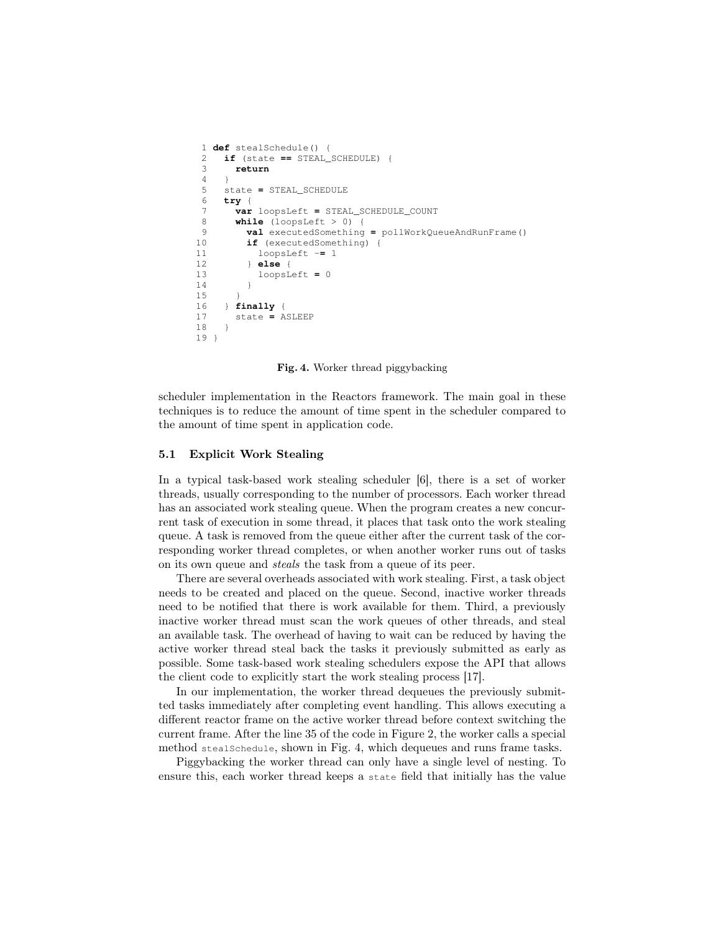```
1 def stealSchedule() {
 2 if (state == STEAL_SCHEDULE) {
 3 return
 \sqrt{4}5 state = STEAL_SCHEDULE
 6 try {
 7 var loopsLeft = STEAL_SCHEDULE_COUNT
      while (loopsLeft > 0)9 val executedSomething = pollWorkQueueAndRunFrame()
10 if (executedSomething) {
11 loopsLeft -= 1
12 } else {
          13 loopsLeft = 0
14 }
15 }
16 } finally {
      17 state = ASLEEP
18 }
19 }
```
Fig. 4. Worker thread piggybacking

scheduler implementation in the Reactors framework. The main goal in these techniques is to reduce the amount of time spent in the scheduler compared to the amount of time spent in application code.

#### 5.1 Explicit Work Stealing

In a typical task-based work stealing scheduler [6], there is a set of worker threads, usually corresponding to the number of processors. Each worker thread has an associated work stealing queue. When the program creates a new concurrent task of execution in some thread, it places that task onto the work stealing queue. A task is removed from the queue either after the current task of the corresponding worker thread completes, or when another worker runs out of tasks on its own queue and steals the task from a queue of its peer.

There are several overheads associated with work stealing. First, a task object needs to be created and placed on the queue. Second, inactive worker threads need to be notified that there is work available for them. Third, a previously inactive worker thread must scan the work queues of other threads, and steal an available task. The overhead of having to wait can be reduced by having the active worker thread steal back the tasks it previously submitted as early as possible. Some task-based work stealing schedulers expose the API that allows the client code to explicitly start the work stealing process [17].

In our implementation, the worker thread dequeues the previously submitted tasks immediately after completing event handling. This allows executing a different reactor frame on the active worker thread before context switching the current frame. After the line 35 of the code in Figure 2, the worker calls a special method stealschedule, shown in Fig. 4, which dequeues and runs frame tasks.

Piggybacking the worker thread can only have a single level of nesting. To ensure this, each worker thread keeps a state field that initially has the value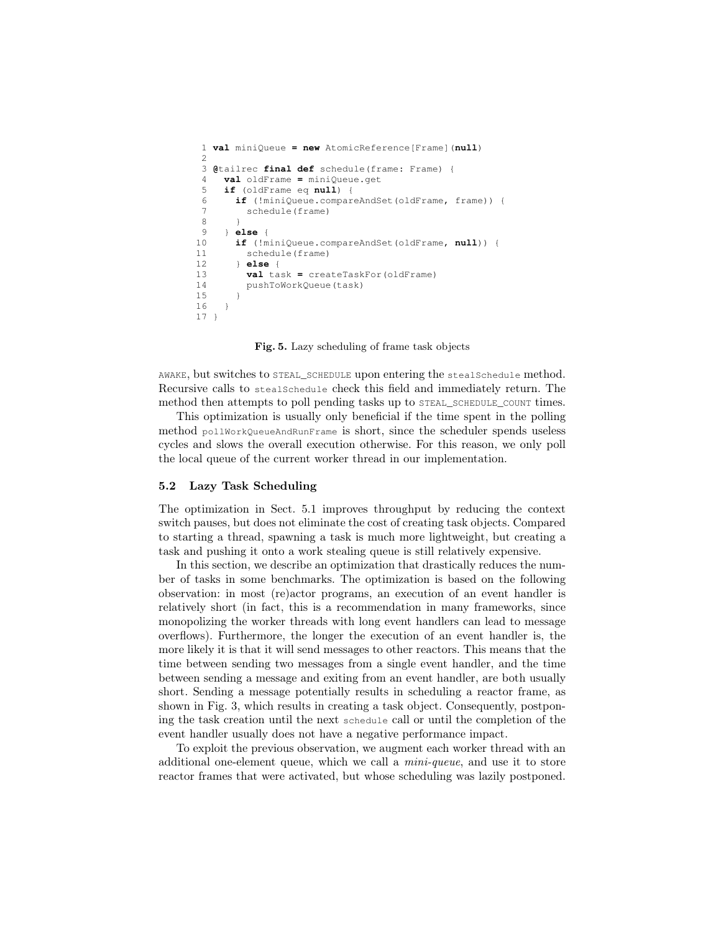```
1 val miniQueue = new AtomicReference[Frame](null)
 2
 3 @tailrec final def schedule(frame: Frame) {
 4 val oldFrame = miniQueue.get
 5 if (oldFrame eq null) {
 6 if (!miniQueue.compareAndSet(oldFrame, frame)) {
 7 schedule(frame)
 8 }
 9 } else {
10 if (!miniQueue.compareAndSet(oldFrame, null)) {
11 schedule(frame)
12 } else {
        val task = createTaskFor(oldFrame)
14 pushToWorkQueue(task)
15 }
16 }
17 }
```
Fig. 5. Lazy scheduling of frame task objects

AWAKE, but switches to STEAL\_SCHEDULE upon entering the stealSchedule method. Recursive calls to stealSchedule check this field and immediately return. The method then attempts to poll pending tasks up to STEAL\_SCHEDULE\_COUNT times.

This optimization is usually only beneficial if the time spent in the polling method pollWorkQueueAndRunFrame is short, since the scheduler spends useless cycles and slows the overall execution otherwise. For this reason, we only poll the local queue of the current worker thread in our implementation.

#### 5.2 Lazy Task Scheduling

The optimization in Sect. 5.1 improves throughput by reducing the context switch pauses, but does not eliminate the cost of creating task objects. Compared to starting a thread, spawning a task is much more lightweight, but creating a task and pushing it onto a work stealing queue is still relatively expensive.

In this section, we describe an optimization that drastically reduces the number of tasks in some benchmarks. The optimization is based on the following observation: in most (re)actor programs, an execution of an event handler is relatively short (in fact, this is a recommendation in many frameworks, since monopolizing the worker threads with long event handlers can lead to message overflows). Furthermore, the longer the execution of an event handler is, the more likely it is that it will send messages to other reactors. This means that the time between sending two messages from a single event handler, and the time between sending a message and exiting from an event handler, are both usually short. Sending a message potentially results in scheduling a reactor frame, as shown in Fig. 3, which results in creating a task object. Consequently, postponing the task creation until the next schedule call or until the completion of the event handler usually does not have a negative performance impact.

To exploit the previous observation, we augment each worker thread with an additional one-element queue, which we call a mini-queue, and use it to store reactor frames that were activated, but whose scheduling was lazily postponed.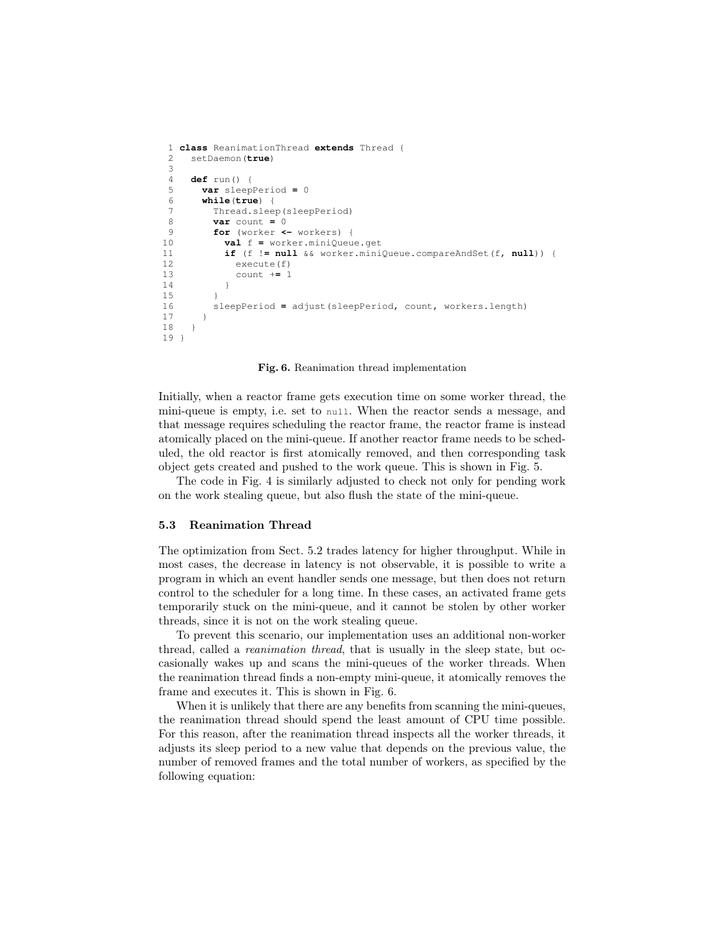```
1 class ReanimationThread extends Thread {
 2 setDaemon(true)
 3
 4 def run() {
 5 var sleepPeriod = 0
 6 while(true) {
 7 Thread.sleep(sleepPeriod)
 8 var count = 0
 9 for (worker <- workers) {
10 val f = worker.miniQueue.get
11 if (f != null && worker.miniQueue.compareAndSet(f, null)) {<br>12 execute(f)
12 execute(f)<br>13 count += 1
            13 count += 1
14 }
15 \t\t 116 sleepPeriod = adjust(sleepPeriod, count, workers.length)
17 }
18 }
19 }
```
Fig. 6. Reanimation thread implementation

Initially, when a reactor frame gets execution time on some worker thread, the mini-queue is empty, i.e. set to null. When the reactor sends a message, and that message requires scheduling the reactor frame, the reactor frame is instead atomically placed on the mini-queue. If another reactor frame needs to be scheduled, the old reactor is first atomically removed, and then corresponding task object gets created and pushed to the work queue. This is shown in Fig. 5.

The code in Fig. 4 is similarly adjusted to check not only for pending work on the work stealing queue, but also flush the state of the mini-queue.

#### 5.3 Reanimation Thread

The optimization from Sect. 5.2 trades latency for higher throughput. While in most cases, the decrease in latency is not observable, it is possible to write a program in which an event handler sends one message, but then does not return control to the scheduler for a long time. In these cases, an activated frame gets temporarily stuck on the mini-queue, and it cannot be stolen by other worker threads, since it is not on the work stealing queue.

To prevent this scenario, our implementation uses an additional non-worker thread, called a reanimation thread, that is usually in the sleep state, but occasionally wakes up and scans the mini-queues of the worker threads. When the reanimation thread finds a non-empty mini-queue, it atomically removes the frame and executes it. This is shown in Fig. 6.

When it is unlikely that there are any benefits from scanning the mini-queues, the reanimation thread should spend the least amount of CPU time possible. For this reason, after the reanimation thread inspects all the worker threads, it adjusts its sleep period to a new value that depends on the previous value, the number of removed frames and the total number of workers, as specified by the following equation: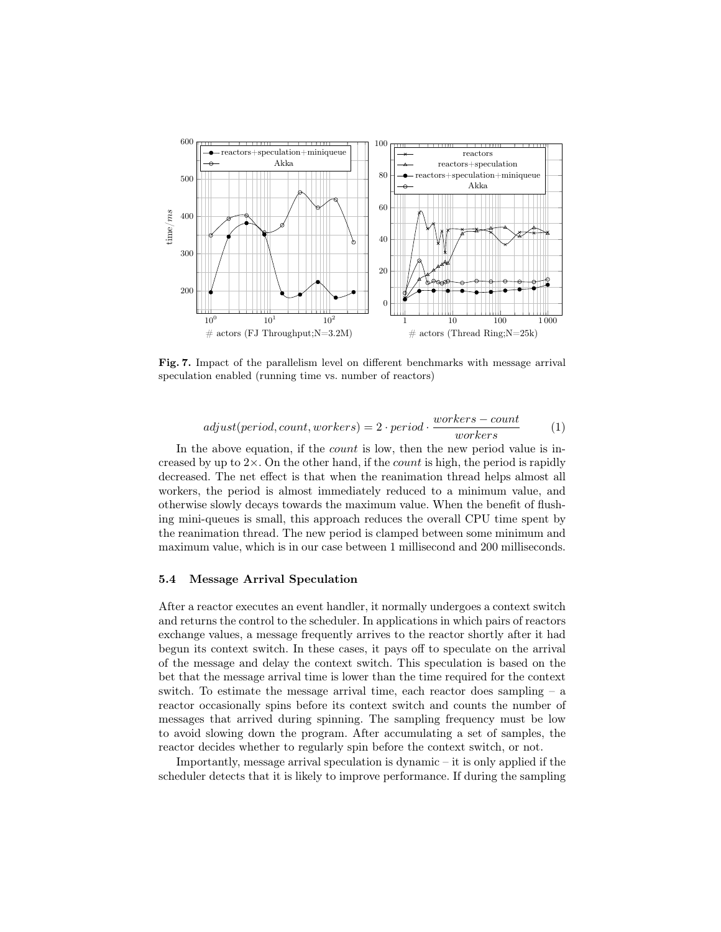

Fig. 7. Impact of the parallelism level on different benchmarks with message arrival speculation enabled (running time vs. number of reactors)

$$
adjust(period, count, workers) = 2 \cdot period \cdot \frac{works - count}{works} \tag{1}
$$

In the above equation, if the *count* is low, then the new period value is increased by up to  $2\times$ . On the other hand, if the *count* is high, the period is rapidly decreased. The net effect is that when the reanimation thread helps almost all workers, the period is almost immediately reduced to a minimum value, and otherwise slowly decays towards the maximum value. When the benefit of flushing mini-queues is small, this approach reduces the overall CPU time spent by the reanimation thread. The new period is clamped between some minimum and maximum value, which is in our case between 1 millisecond and 200 milliseconds.

#### 5.4 Message Arrival Speculation

After a reactor executes an event handler, it normally undergoes a context switch and returns the control to the scheduler. In applications in which pairs of reactors exchange values, a message frequently arrives to the reactor shortly after it had begun its context switch. In these cases, it pays off to speculate on the arrival of the message and delay the context switch. This speculation is based on the bet that the message arrival time is lower than the time required for the context switch. To estimate the message arrival time, each reactor does sampling – a reactor occasionally spins before its context switch and counts the number of messages that arrived during spinning. The sampling frequency must be low to avoid slowing down the program. After accumulating a set of samples, the reactor decides whether to regularly spin before the context switch, or not.

Importantly, message arrival speculation is dynamic – it is only applied if the scheduler detects that it is likely to improve performance. If during the sampling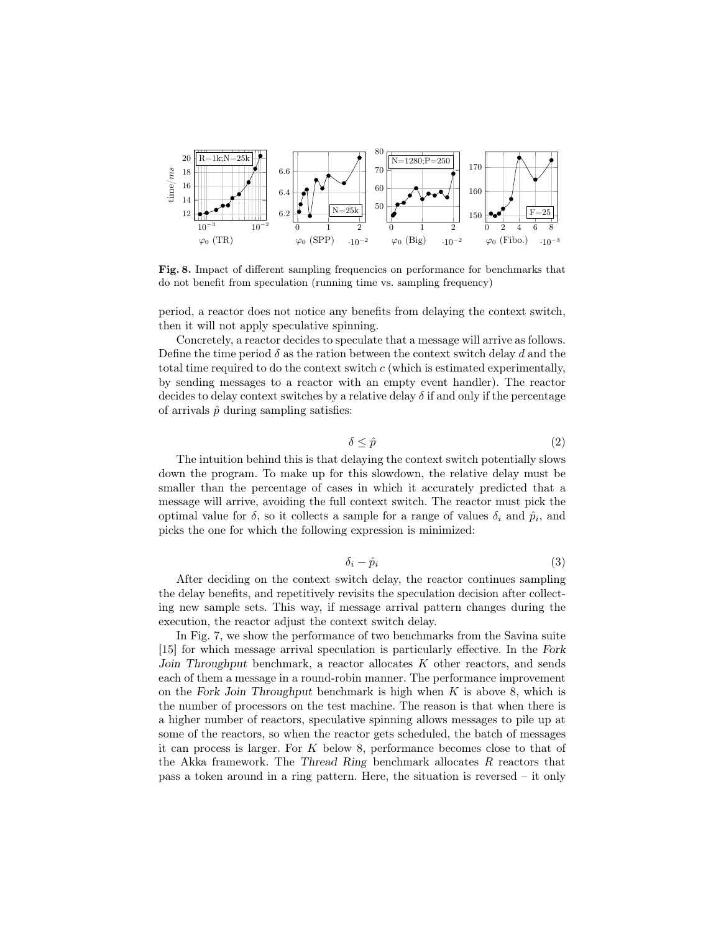

Fig. 8. Impact of different sampling frequencies on performance for benchmarks that do not benefit from speculation (running time vs. sampling frequency)

period, a reactor does not notice any benefits from delaying the context switch, then it will not apply speculative spinning.

Concretely, a reactor decides to speculate that a message will arrive as follows. Define the time period  $\delta$  as the ration between the context switch delay d and the total time required to do the context switch  $c$  (which is estimated experimentally, by sending messages to a reactor with an empty event handler). The reactor decides to delay context switches by a relative delay  $\delta$  if and only if the percentage of arrivals  $\hat{p}$  during sampling satisfies:

$$
\delta \le \hat{p} \tag{2}
$$

The intuition behind this is that delaying the context switch potentially slows down the program. To make up for this slowdown, the relative delay must be smaller than the percentage of cases in which it accurately predicted that a message will arrive, avoiding the full context switch. The reactor must pick the optimal value for  $\delta$ , so it collects a sample for a range of values  $\delta_i$  and  $\hat{p}_i$ , and picks the one for which the following expression is minimized:

$$
\delta_i - \hat{p}_i \tag{3}
$$

After deciding on the context switch delay, the reactor continues sampling the delay benefits, and repetitively revisits the speculation decision after collecting new sample sets. This way, if message arrival pattern changes during the execution, the reactor adjust the context switch delay.

In Fig. 7, we show the performance of two benchmarks from the Savina suite [15] for which message arrival speculation is particularly effective. In the Fork Join Throughput benchmark, a reactor allocates  $K$  other reactors, and sends each of them a message in a round-robin manner. The performance improvement on the Fork Join Throughput benchmark is high when  $K$  is above 8, which is the number of processors on the test machine. The reason is that when there is a higher number of reactors, speculative spinning allows messages to pile up at some of the reactors, so when the reactor gets scheduled, the batch of messages it can process is larger. For K below 8, performance becomes close to that of the Akka framework. The Thread Ring benchmark allocates  $R$  reactors that pass a token around in a ring pattern. Here, the situation is reversed – it only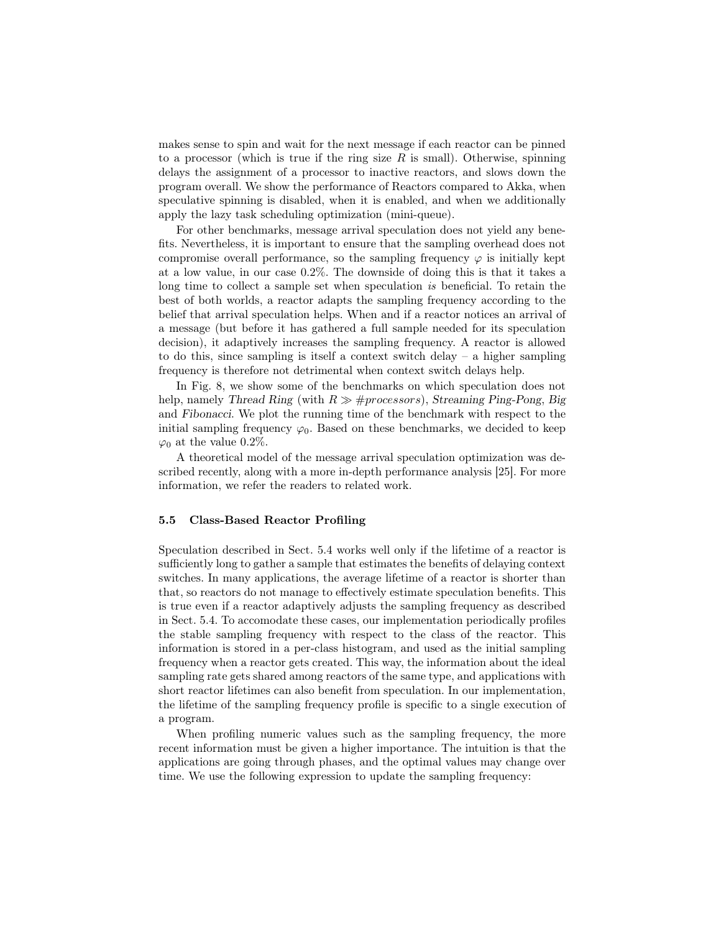makes sense to spin and wait for the next message if each reactor can be pinned to a processor (which is true if the ring size  $R$  is small). Otherwise, spinning delays the assignment of a processor to inactive reactors, and slows down the program overall. We show the performance of Reactors compared to Akka, when speculative spinning is disabled, when it is enabled, and when we additionally apply the lazy task scheduling optimization (mini-queue).

For other benchmarks, message arrival speculation does not yield any benefits. Nevertheless, it is important to ensure that the sampling overhead does not compromise overall performance, so the sampling frequency  $\varphi$  is initially kept at a low value, in our case 0.2%. The downside of doing this is that it takes a long time to collect a sample set when speculation is beneficial. To retain the best of both worlds, a reactor adapts the sampling frequency according to the belief that arrival speculation helps. When and if a reactor notices an arrival of a message (but before it has gathered a full sample needed for its speculation decision), it adaptively increases the sampling frequency. A reactor is allowed to do this, since sampling is itself a context switch delay – a higher sampling frequency is therefore not detrimental when context switch delays help.

In Fig. 8, we show some of the benchmarks on which speculation does not help, namely Thread Ring (with  $R \gg \text{\#processors}$ ), Streaming Ping-Pong, Big and Fibonacci. We plot the running time of the benchmark with respect to the initial sampling frequency  $\varphi_0$ . Based on these benchmarks, we decided to keep  $\varphi_0$  at the value 0.2%.

A theoretical model of the message arrival speculation optimization was described recently, along with a more in-depth performance analysis [25]. For more information, we refer the readers to related work.

#### 5.5 Class-Based Reactor Profiling

Speculation described in Sect. 5.4 works well only if the lifetime of a reactor is sufficiently long to gather a sample that estimates the benefits of delaying context switches. In many applications, the average lifetime of a reactor is shorter than that, so reactors do not manage to effectively estimate speculation benefits. This is true even if a reactor adaptively adjusts the sampling frequency as described in Sect. 5.4. To accomodate these cases, our implementation periodically profiles the stable sampling frequency with respect to the class of the reactor. This information is stored in a per-class histogram, and used as the initial sampling frequency when a reactor gets created. This way, the information about the ideal sampling rate gets shared among reactors of the same type, and applications with short reactor lifetimes can also benefit from speculation. In our implementation, the lifetime of the sampling frequency profile is specific to a single execution of a program.

When profiling numeric values such as the sampling frequency, the more recent information must be given a higher importance. The intuition is that the applications are going through phases, and the optimal values may change over time. We use the following expression to update the sampling frequency: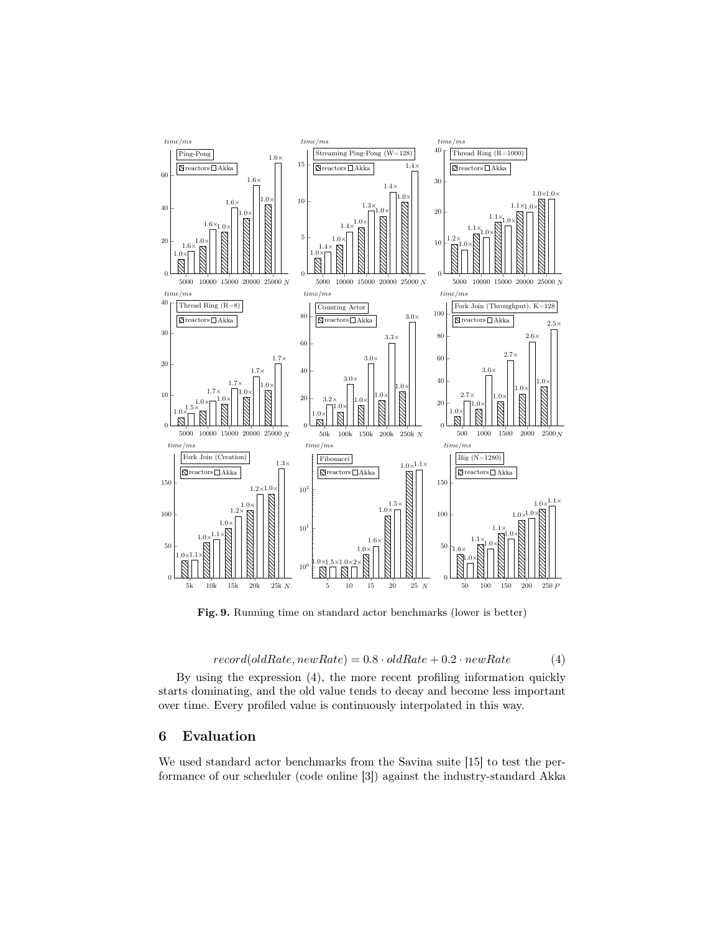

Fig. 9. Running time on standard actor benchmarks (lower is better)

# $record(oldRate, newRate) = 0.8 \cdot oldRate + 0.2 \cdot newRate$  (4)

By using the expression (4), the more recent profiling information quickly starts dominating, and the old value tends to decay and become less important over time. Every profiled value is continuously interpolated in this way.

# 6 Evaluation

We used standard actor benchmarks from the Savina suite [15] to test the performance of our scheduler (code online [3]) against the industry-standard Akka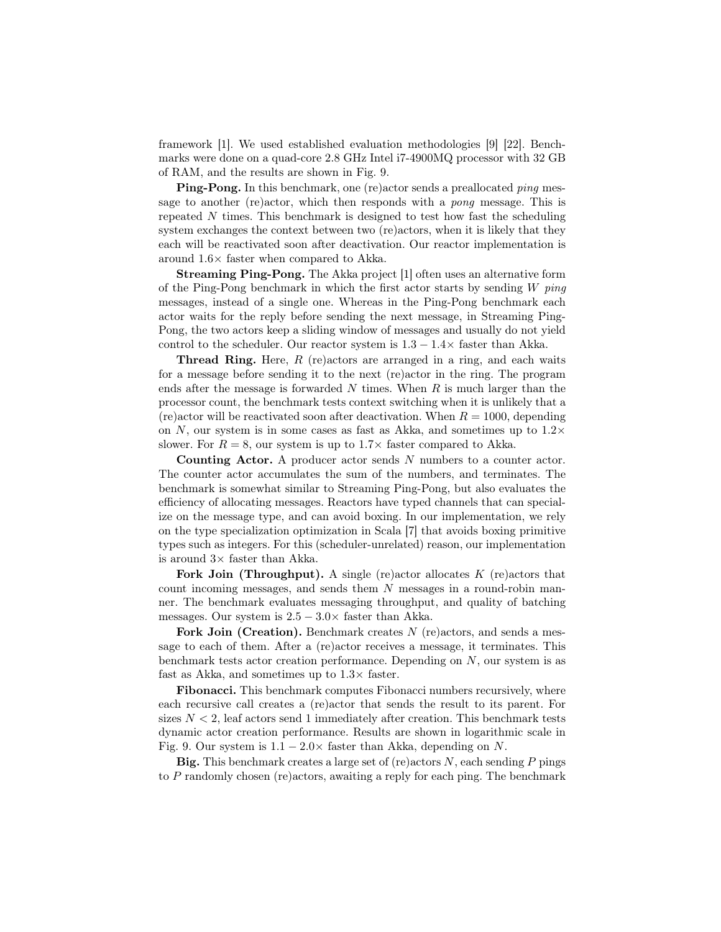framework [1]. We used established evaluation methodologies [9] [22]. Benchmarks were done on a quad-core 2.8 GHz Intel i7-4900MQ processor with 32 GB of RAM, and the results are shown in Fig. 9.

Ping-Pong. In this benchmark, one (re)actor sends a preallocated ping message to another (re)actor, which then responds with a *pong* message. This is repeated N times. This benchmark is designed to test how fast the scheduling system exchanges the context between two (re)actors, when it is likely that they each will be reactivated soon after deactivation. Our reactor implementation is around 1.6× faster when compared to Akka.

Streaming Ping-Pong. The Akka project [1] often uses an alternative form of the Ping-Pong benchmark in which the first actor starts by sending  $W$  ping messages, instead of a single one. Whereas in the Ping-Pong benchmark each actor waits for the reply before sending the next message, in Streaming Ping-Pong, the two actors keep a sliding window of messages and usually do not yield control to the scheduler. Our reactor system is  $1.3 - 1.4 \times$  faster than Akka.

**Thread Ring.** Here,  $R$  (re)actors are arranged in a ring, and each waits for a message before sending it to the next (re)actor in the ring. The program ends after the message is forwarded  $N$  times. When  $R$  is much larger than the processor count, the benchmark tests context switching when it is unlikely that a (re)actor will be reactivated soon after deactivation. When  $R = 1000$ , depending on N, our system is in some cases as fast as Akka, and sometimes up to  $1.2\times$ slower. For  $R = 8$ , our system is up to  $1.7 \times$  faster compared to Akka.

Counting Actor. A producer actor sends N numbers to a counter actor. The counter actor accumulates the sum of the numbers, and terminates. The benchmark is somewhat similar to Streaming Ping-Pong, but also evaluates the efficiency of allocating messages. Reactors have typed channels that can specialize on the message type, and can avoid boxing. In our implementation, we rely on the type specialization optimization in Scala [7] that avoids boxing primitive types such as integers. For this (scheduler-unrelated) reason, our implementation is around  $3\times$  faster than Akka.

Fork Join (Throughput). A single (re)actor allocates  $K$  (re)actors that count incoming messages, and sends them N messages in a round-robin manner. The benchmark evaluates messaging throughput, and quality of batching messages. Our system is  $2.5 - 3.0 \times$  faster than Akka.

Fork Join (Creation). Benchmark creates  $N$  (re)actors, and sends a message to each of them. After a (re)actor receives a message, it terminates. This benchmark tests actor creation performance. Depending on  $N$ , our system is as fast as Akka, and sometimes up to  $1.3\times$  faster.

Fibonacci. This benchmark computes Fibonacci numbers recursively, where each recursive call creates a (re)actor that sends the result to its parent. For sizes  $N < 2$ , leaf actors send 1 immediately after creation. This benchmark tests dynamic actor creation performance. Results are shown in logarithmic scale in Fig. 9. Our system is  $1.1 - 2.0 \times$  faster than Akka, depending on N.

**Big.** This benchmark creates a large set of (re)actors  $N$ , each sending  $P$  pings to P randomly chosen (re)actors, awaiting a reply for each ping. The benchmark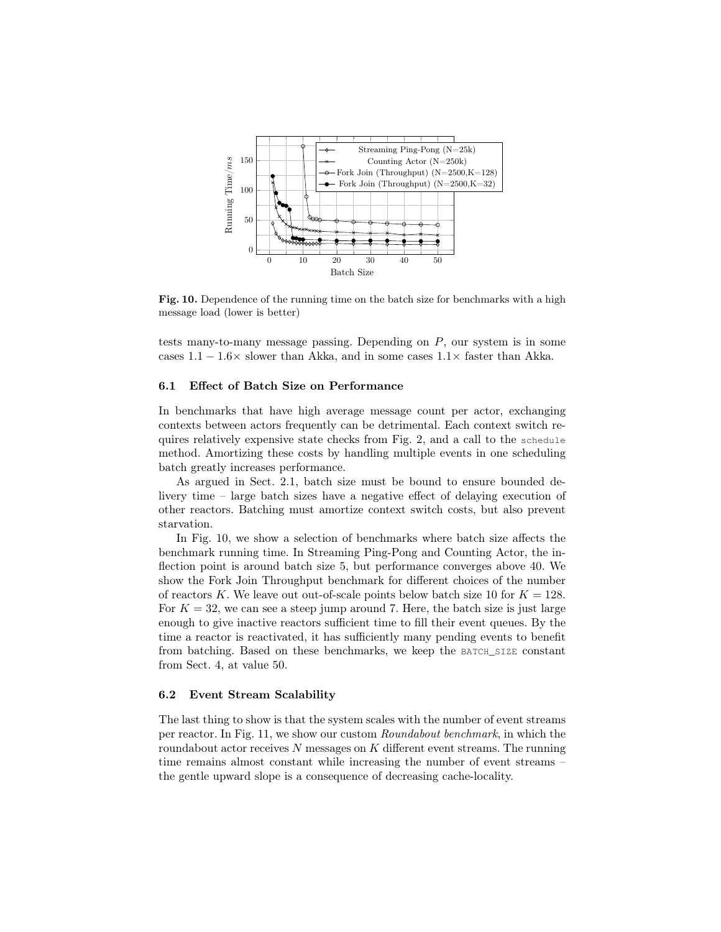

Fig. 10. Dependence of the running time on the batch size for benchmarks with a high message load (lower is better)

tests many-to-many message passing. Depending on P, our system is in some cases  $1.1 - 1.6 \times$  slower than Akka, and in some cases  $1.1 \times$  faster than Akka.

## 6.1 Effect of Batch Size on Performance

In benchmarks that have high average message count per actor, exchanging contexts between actors frequently can be detrimental. Each context switch requires relatively expensive state checks from Fig. 2, and a call to the schedule method. Amortizing these costs by handling multiple events in one scheduling batch greatly increases performance.

As argued in Sect. 2.1, batch size must be bound to ensure bounded delivery time – large batch sizes have a negative effect of delaying execution of other reactors. Batching must amortize context switch costs, but also prevent starvation.

In Fig. 10, we show a selection of benchmarks where batch size affects the benchmark running time. In Streaming Ping-Pong and Counting Actor, the inflection point is around batch size 5, but performance converges above 40. We show the Fork Join Throughput benchmark for different choices of the number of reactors K. We leave out out-of-scale points below batch size 10 for  $K = 128$ . For  $K = 32$ , we can see a steep jump around 7. Here, the batch size is just large enough to give inactive reactors sufficient time to fill their event queues. By the time a reactor is reactivated, it has sufficiently many pending events to benefit from batching. Based on these benchmarks, we keep the BATCH\_SIZE constant from Sect. 4, at value 50.

#### 6.2 Event Stream Scalability

The last thing to show is that the system scales with the number of event streams per reactor. In Fig. 11, we show our custom Roundabout benchmark, in which the roundabout actor receives  $N$  messages on  $K$  different event streams. The running time remains almost constant while increasing the number of event streams – the gentle upward slope is a consequence of decreasing cache-locality.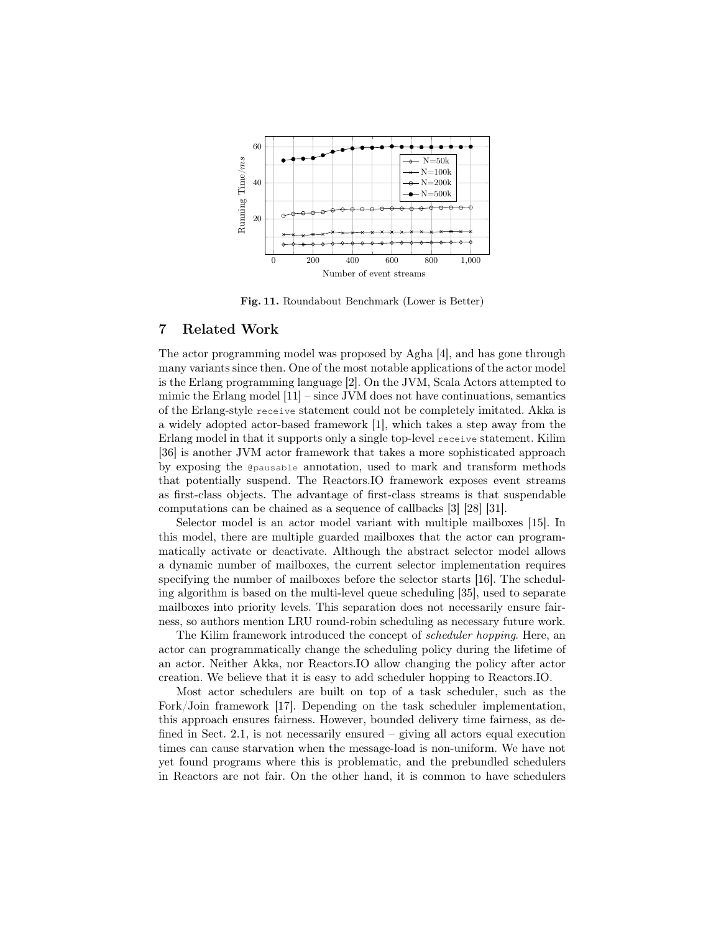

Fig. 11. Roundabout Benchmark (Lower is Better)

# 7 Related Work

The actor programming model was proposed by Agha [4], and has gone through many variants since then. One of the most notable applications of the actor model is the Erlang programming language [2]. On the JVM, Scala Actors attempted to mimic the Erlang model  $[11]$  – since JVM does not have continuations, semantics of the Erlang-style receive statement could not be completely imitated. Akka is a widely adopted actor-based framework [1], which takes a step away from the Erlang model in that it supports only a single top-level receive statement. Kilim [36] is another JVM actor framework that takes a more sophisticated approach by exposing the @pausable annotation, used to mark and transform methods that potentially suspend. The Reactors.IO framework exposes event streams as first-class objects. The advantage of first-class streams is that suspendable computations can be chained as a sequence of callbacks [3] [28] [31].

Selector model is an actor model variant with multiple mailboxes [15]. In this model, there are multiple guarded mailboxes that the actor can programmatically activate or deactivate. Although the abstract selector model allows a dynamic number of mailboxes, the current selector implementation requires specifying the number of mailboxes before the selector starts [16]. The scheduling algorithm is based on the multi-level queue scheduling [35], used to separate mailboxes into priority levels. This separation does not necessarily ensure fairness, so authors mention LRU round-robin scheduling as necessary future work.

The Kilim framework introduced the concept of scheduler hopping. Here, an actor can programmatically change the scheduling policy during the lifetime of an actor. Neither Akka, nor Reactors.IO allow changing the policy after actor creation. We believe that it is easy to add scheduler hopping to Reactors.IO.

Most actor schedulers are built on top of a task scheduler, such as the Fork/Join framework [17]. Depending on the task scheduler implementation, this approach ensures fairness. However, bounded delivery time fairness, as defined in Sect. 2.1, is not necessarily ensured – giving all actors equal execution times can cause starvation when the message-load is non-uniform. We have not yet found programs where this is problematic, and the prebundled schedulers in Reactors are not fair. On the other hand, it is common to have schedulers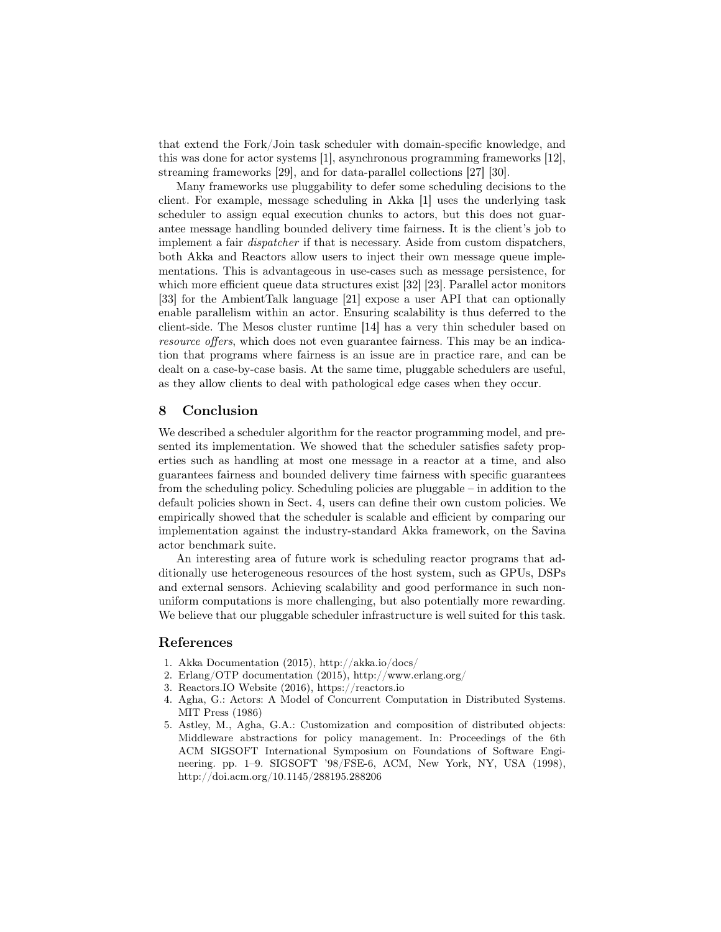that extend the Fork/Join task scheduler with domain-specific knowledge, and this was done for actor systems [1], asynchronous programming frameworks [12], streaming frameworks [29], and for data-parallel collections [27] [30].

Many frameworks use pluggability to defer some scheduling decisions to the client. For example, message scheduling in Akka [1] uses the underlying task scheduler to assign equal execution chunks to actors, but this does not guarantee message handling bounded delivery time fairness. It is the client's job to implement a fair dispatcher if that is necessary. Aside from custom dispatchers, both Akka and Reactors allow users to inject their own message queue implementations. This is advantageous in use-cases such as message persistence, for which more efficient queue data structures exist [32] [23]. Parallel actor monitors [33] for the AmbientTalk language [21] expose a user API that can optionally enable parallelism within an actor. Ensuring scalability is thus deferred to the client-side. The Mesos cluster runtime [14] has a very thin scheduler based on resource offers, which does not even guarantee fairness. This may be an indication that programs where fairness is an issue are in practice rare, and can be dealt on a case-by-case basis. At the same time, pluggable schedulers are useful, as they allow clients to deal with pathological edge cases when they occur.

# 8 Conclusion

We described a scheduler algorithm for the reactor programming model, and presented its implementation. We showed that the scheduler satisfies safety properties such as handling at most one message in a reactor at a time, and also guarantees fairness and bounded delivery time fairness with specific guarantees from the scheduling policy. Scheduling policies are pluggable – in addition to the default policies shown in Sect. 4, users can define their own custom policies. We empirically showed that the scheduler is scalable and efficient by comparing our implementation against the industry-standard Akka framework, on the Savina actor benchmark suite.

An interesting area of future work is scheduling reactor programs that additionally use heterogeneous resources of the host system, such as GPUs, DSPs and external sensors. Achieving scalability and good performance in such nonuniform computations is more challenging, but also potentially more rewarding. We believe that our pluggable scheduler infrastructure is well suited for this task.

# References

- 1. Akka Documentation (2015), http://akka.io/docs/
- 2. Erlang/OTP documentation (2015), http://www.erlang.org/
- 3. Reactors.IO Website (2016), https://reactors.io
- 4. Agha, G.: Actors: A Model of Concurrent Computation in Distributed Systems. MIT Press (1986)
- 5. Astley, M., Agha, G.A.: Customization and composition of distributed objects: Middleware abstractions for policy management. In: Proceedings of the 6th ACM SIGSOFT International Symposium on Foundations of Software Engineering. pp. 1–9. SIGSOFT '98/FSE-6, ACM, New York, NY, USA (1998), http://doi.acm.org/10.1145/288195.288206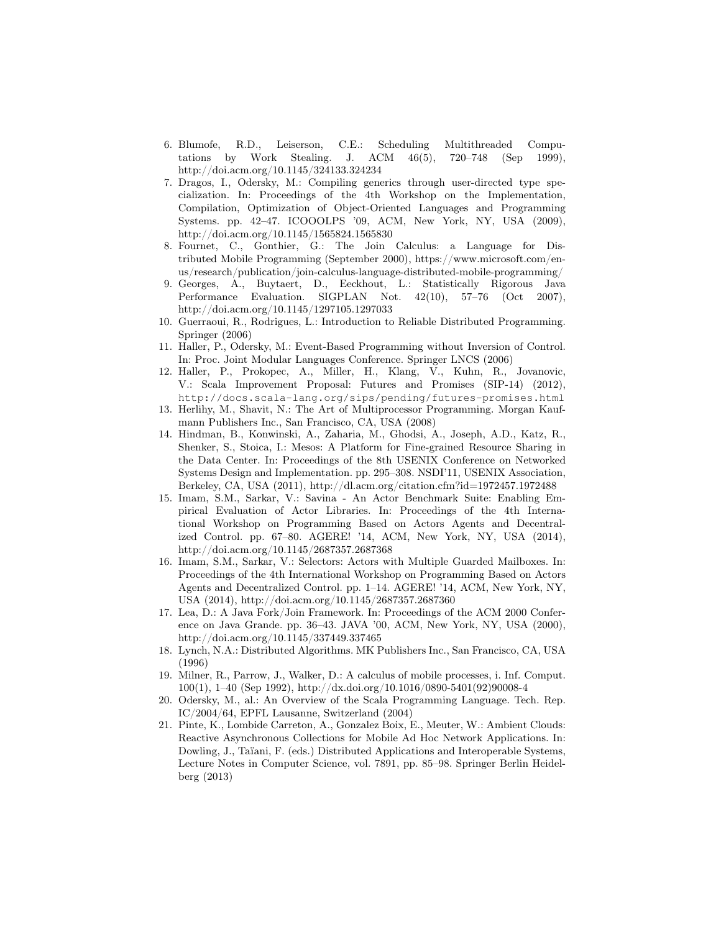- 6. Blumofe, R.D., Leiserson, C.E.: Scheduling Multithreaded Computations by Work Stealing. J. ACM 46(5), 720–748 (Sep 1999), http://doi.acm.org/10.1145/324133.324234
- 7. Dragos, I., Odersky, M.: Compiling generics through user-directed type specialization. In: Proceedings of the 4th Workshop on the Implementation, Compilation, Optimization of Object-Oriented Languages and Programming Systems. pp. 42–47. ICOOOLPS '09, ACM, New York, NY, USA (2009), http://doi.acm.org/10.1145/1565824.1565830
- 8. Fournet, C., Gonthier, G.: The Join Calculus: a Language for Distributed Mobile Programming (September 2000), https://www.microsoft.com/enus/research/publication/join-calculus-language-distributed-mobile-programming/
- 9. Georges, A., Buytaert, D., Eeckhout, L.: Statistically Rigorous Java Performance Evaluation. SIGPLAN Not. 42(10), 57–76 (Oct 2007), http://doi.acm.org/10.1145/1297105.1297033
- 10. Guerraoui, R., Rodrigues, L.: Introduction to Reliable Distributed Programming. Springer (2006)
- 11. Haller, P., Odersky, M.: Event-Based Programming without Inversion of Control. In: Proc. Joint Modular Languages Conference. Springer LNCS (2006)
- 12. Haller, P., Prokopec, A., Miller, H., Klang, V., Kuhn, R., Jovanovic, V.: Scala Improvement Proposal: Futures and Promises (SIP-14) (2012), http://docs.scala-lang.org/sips/pending/futures-promises.html
- 13. Herlihy, M., Shavit, N.: The Art of Multiprocessor Programming. Morgan Kaufmann Publishers Inc., San Francisco, CA, USA (2008)
- 14. Hindman, B., Konwinski, A., Zaharia, M., Ghodsi, A., Joseph, A.D., Katz, R., Shenker, S., Stoica, I.: Mesos: A Platform for Fine-grained Resource Sharing in the Data Center. In: Proceedings of the 8th USENIX Conference on Networked Systems Design and Implementation. pp. 295–308. NSDI'11, USENIX Association, Berkeley, CA, USA (2011), http://dl.acm.org/citation.cfm?id=1972457.1972488
- 15. Imam, S.M., Sarkar, V.: Savina An Actor Benchmark Suite: Enabling Empirical Evaluation of Actor Libraries. In: Proceedings of the 4th International Workshop on Programming Based on Actors Agents and Decentralized Control. pp. 67–80. AGERE! '14, ACM, New York, NY, USA (2014), http://doi.acm.org/10.1145/2687357.2687368
- 16. Imam, S.M., Sarkar, V.: Selectors: Actors with Multiple Guarded Mailboxes. In: Proceedings of the 4th International Workshop on Programming Based on Actors Agents and Decentralized Control. pp. 1–14. AGERE! '14, ACM, New York, NY, USA (2014), http://doi.acm.org/10.1145/2687357.2687360
- 17. Lea, D.: A Java Fork/Join Framework. In: Proceedings of the ACM 2000 Conference on Java Grande. pp. 36–43. JAVA '00, ACM, New York, NY, USA (2000), http://doi.acm.org/10.1145/337449.337465
- 18. Lynch, N.A.: Distributed Algorithms. MK Publishers Inc., San Francisco, CA, USA (1996)
- 19. Milner, R., Parrow, J., Walker, D.: A calculus of mobile processes, i. Inf. Comput. 100(1), 1–40 (Sep 1992), http://dx.doi.org/10.1016/0890-5401(92)90008-4
- 20. Odersky, M., al.: An Overview of the Scala Programming Language. Tech. Rep. IC/2004/64, EPFL Lausanne, Switzerland (2004)
- 21. Pinte, K., Lombide Carreton, A., Gonzalez Boix, E., Meuter, W.: Ambient Clouds: Reactive Asynchronous Collections for Mobile Ad Hoc Network Applications. In: Dowling, J., Taïani, F. (eds.) Distributed Applications and Interoperable Systems, Lecture Notes in Computer Science, vol. 7891, pp. 85–98. Springer Berlin Heidelberg (2013)